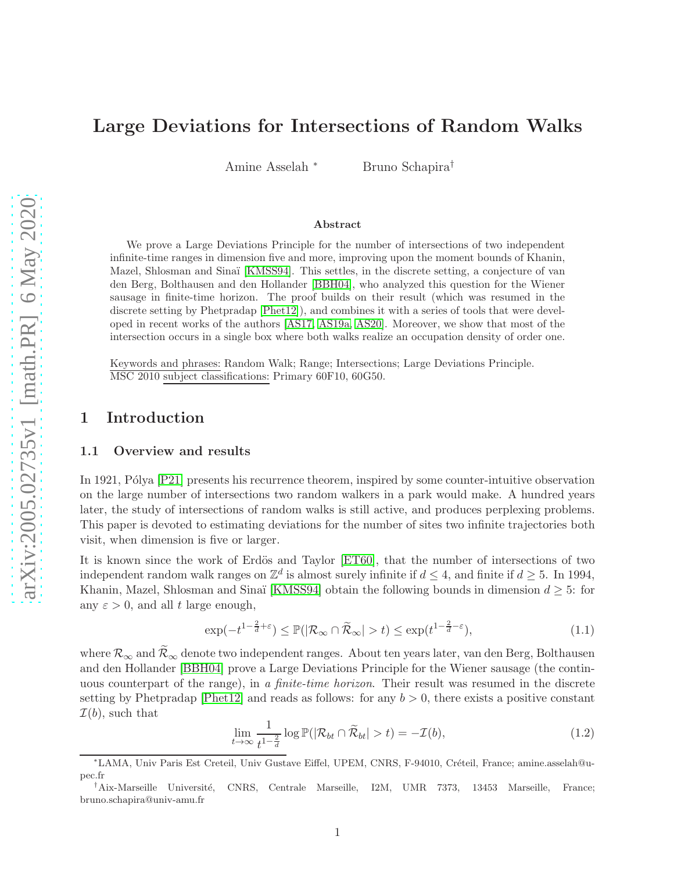# Large Deviations for Intersections of Random Walks

Amine Asselah <sup>∗</sup> Bruno Schapira†

#### Abstract

We prove a Large Deviations Principle for the number of intersections of two independent infinite-time ranges in dimension five and more, improving upon the moment bounds of Khanin, Mazel, Shlosman and Sinaï [\[KMSS94\]](#page-19-0). This settles, in the discrete setting, a conjecture of van den Berg, Bolthausen and den Hollander [\[BBH04\]](#page-19-1), who analyzed this question for the Wiener sausage in finite-time horizon. The proof builds on their result (which was resumed in the discrete setting by Phetpradap [\[Phet12\]](#page-19-2)), and combines it with a series of tools that were developed in recent works of the authors [\[AS17,](#page-18-0) [AS19a,](#page-18-1) [AS20\]](#page-19-3). Moreover, we show that most of the intersection occurs in a single box where both walks realize an occupation density of order one.

Keywords and phrases: Random Walk; Range; Intersections; Large Deviations Principle. MSC 2010 subject classifications: Primary 60F10, 60G50.

### 1 Introduction

#### 1.1 Overview and results

In 1921, Pólya [\[P21\]](#page-19-4) presents his recurrence theorem, inspired by some counter-intuitive observation on the large number of intersections two random walkers in a park would make. A hundred years later, the study of intersections of random walks is still active, and produces perplexing problems. This paper is devoted to estimating deviations for the number of sites two infinite trajectories both visit, when dimension is five or larger.

It is known since the work of Erdös and Taylor [\[ET60\]](#page-19-5), that the number of intersections of two independent random walk ranges on  $\mathbb{Z}^d$  is almost surely infinite if  $d \leq 4$ , and finite if  $d \geq 5$ . In 1994, Khanin, Mazel, Shlosman and Sinaï [\[KMSS94\]](#page-19-0) obtain the following bounds in dimension  $d \geq 5$ : for any  $\varepsilon > 0$ , and all t large enough,

$$
\exp(-t^{1-\frac{2}{d}+\varepsilon}) \le \mathbb{P}(|\mathcal{R}_{\infty} \cap \widetilde{\mathcal{R}}_{\infty}| > t) \le \exp(t^{1-\frac{2}{d}-\varepsilon}),\tag{1.1}
$$

where  $\mathcal{R}_{\infty}$  and  $\widetilde{\mathcal{R}}_{\infty}$  denote two independent ranges. About ten years later, van den Berg, Bolthausen and den Hollander [\[BBH04\]](#page-19-1) prove a Large Deviations Principle for the Wiener sausage (the continuous counterpart of the range), in a finite-time horizon. Their result was resumed in the discrete setting by Phetpradap [\[Phet12\]](#page-19-2) and reads as follows: for any  $b > 0$ , there exists a positive constant  $\mathcal{I}(b)$ , such that

<span id="page-0-0"></span>
$$
\lim_{t \to \infty} \frac{1}{t^{1 - \frac{2}{d}}} \log \mathbb{P}(|\mathcal{R}_{bt} \cap \tilde{\mathcal{R}}_{bt}| > t) = -\mathcal{I}(b),\tag{1.2}
$$

<sup>∗</sup>LAMA, Univ Paris Est Creteil, Univ Gustave Eiffel, UPEM, CNRS, F-94010, Cr´eteil, France; amine.asselah@upec.fr

<sup>&</sup>lt;sup>†</sup>Aix-Marseille Université, CNRS, Centrale Marseille, I2M, UMR 7373, 13453 Marseille, France; bruno.schapira@univ-amu.fr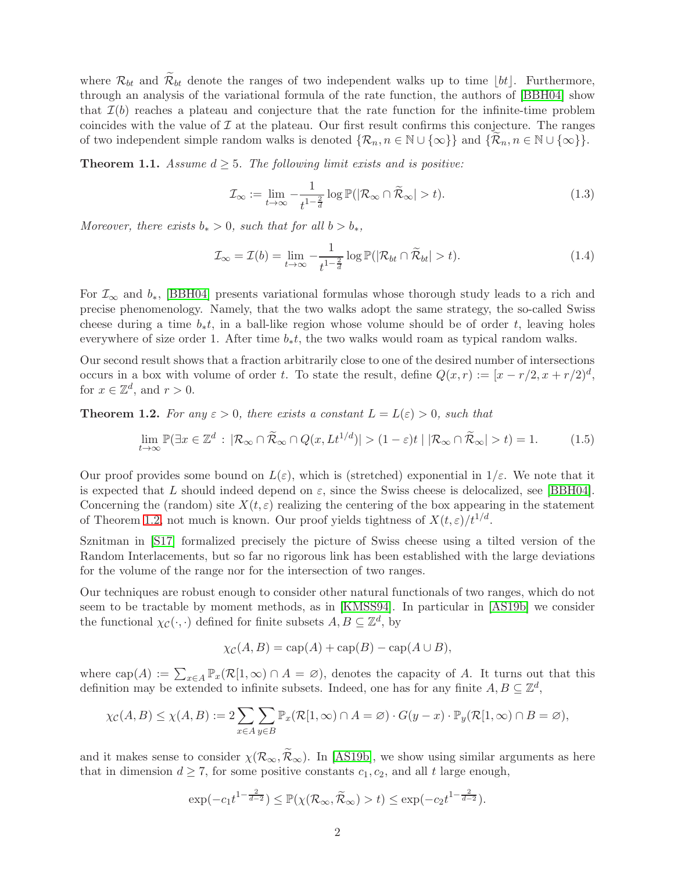where  $\mathcal{R}_{bt}$  and  $\mathcal{R}_{bt}$  denote the ranges of two independent walks up to time [bt]. Furthermore, through an analysis of the variational formula of the rate function, the authors of [\[BBH04\]](#page-19-1) show that  $\mathcal{I}(b)$  reaches a plateau and conjecture that the rate function for the infinite-time problem coincides with the value of  $\mathcal I$  at the plateau. Our first result confirms this conjecture. The ranges of two independent simple random walks is denoted  $\{\mathcal{R}_n, n \in \mathbb{N} \cup \{\infty\}\}\$  and  $\{\mathcal{R}_n, n \in \mathbb{N} \cup \{\infty\}\}.$ 

<span id="page-1-1"></span>**Theorem 1.1.** Assume  $d \geq 5$ . The following limit exists and is positive:

$$
\mathcal{I}_{\infty} := \lim_{t \to \infty} -\frac{1}{t^{1-\frac{2}{d}}} \log \mathbb{P}(|\mathcal{R}_{\infty} \cap \widetilde{\mathcal{R}}_{\infty}| > t).
$$
\n(1.3)

Moreover, there exists  $b_* > 0$ , such that for all  $b > b_*,$ 

$$
\mathcal{I}_{\infty} = \mathcal{I}(b) = \lim_{t \to \infty} -\frac{1}{t^{1 - \frac{2}{d}}} \log \mathbb{P}(|\mathcal{R}_{bt} \cap \widetilde{\mathcal{R}}_{bt}| > t).
$$
\n(1.4)

For  $\mathcal{I}_{\infty}$  and  $b_*$ , [\[BBH04\]](#page-19-1) presents variational formulas whose thorough study leads to a rich and precise phenomenology. Namely, that the two walks adopt the same strategy, the so-called Swiss cheese during a time  $b_*t$ , in a ball-like region whose volume should be of order t, leaving holes everywhere of size order 1. After time  $b<sub>*</sub>t$ , the two walks would roam as typical random walks.

Our second result shows that a fraction arbitrarily close to one of the desired number of intersections occurs in a box with volume of order t. To state the result, define  $Q(x,r) := [x - r/2, x + r/2]^d$ , for  $x \in \mathbb{Z}^d$ , and  $r > 0$ .

<span id="page-1-0"></span>**Theorem 1.2.** For any  $\varepsilon > 0$ , there exists a constant  $L = L(\varepsilon) > 0$ , such that

$$
\lim_{t \to \infty} \mathbb{P}(\exists x \in \mathbb{Z}^d : |\mathcal{R}_{\infty} \cap \widetilde{\mathcal{R}}_{\infty} \cap Q(x, L t^{1/d})| > (1 - \varepsilon)t | |\mathcal{R}_{\infty} \cap \widetilde{\mathcal{R}}_{\infty}| > t) = 1.
$$
 (1.5)

Our proof provides some bound on  $L(\varepsilon)$ , which is (stretched) exponential in  $1/\varepsilon$ . We note that it is expected that L should indeed depend on  $\varepsilon$ , since the Swiss cheese is delocalized, see [\[BBH04\]](#page-19-1). Concerning the (random) site  $X(t, \varepsilon)$  realizing the centering of the box appearing in the statement of Theorem [1.2,](#page-1-0) not much is known. Our proof yields tightness of  $X(t,\varepsilon)/t^{1/d}$ .

Sznitman in [\[S17\]](#page-19-6) formalized precisely the picture of Swiss cheese using a tilted version of the Random Interlacements, but so far no rigorous link has been established with the large deviations for the volume of the range nor for the intersection of two ranges.

Our techniques are robust enough to consider other natural functionals of two ranges, which do not seem to be tractable by moment methods, as in [\[KMSS94\]](#page-19-0). In particular in [\[AS19b\]](#page-18-2) we consider the functional  $\chi_{\mathcal{C}}(\cdot, \cdot)$  defined for finite subsets  $A, B \subseteq \mathbb{Z}^d$ , by

$$
\chi_{\mathcal{C}}(A, B) = \text{cap}(A) + \text{cap}(B) - \text{cap}(A \cup B),
$$

where  $\text{cap}(A) := \sum_{x \in A} \mathbb{P}_x(\mathcal{R}[1,\infty) \cap A = \emptyset)$ , denotes the capacity of A. It turns out that this definition may be extended to infinite subsets. Indeed, one has for any finite  $A, B \subseteq \mathbb{Z}^d$ ,

$$
\chi_{\mathcal{C}}(A,B) \leq \chi(A,B) := 2 \sum_{x \in A} \sum_{y \in B} \mathbb{P}_x(\mathcal{R}[1,\infty) \cap A = \varnothing) \cdot G(y-x) \cdot \mathbb{P}_y(\mathcal{R}[1,\infty) \cap B = \varnothing),
$$

and it makes sense to consider  $\chi(\mathcal{R}_{\infty}, \widetilde{\mathcal{R}}_{\infty})$ . In [\[AS19b\]](#page-18-2), we show using similar arguments as here that in dimension  $d \geq 7$ , for some positive constants  $c_1, c_2$ , and all t large enough,

$$
\exp(-c_1t^{1-\frac{2}{d-2}}) \leq \mathbb{P}(\chi(\mathcal{R}_{\infty},\widetilde{\mathcal{R}}_{\infty}) > t) \leq \exp(-c_2t^{1-\frac{2}{d-2}}).
$$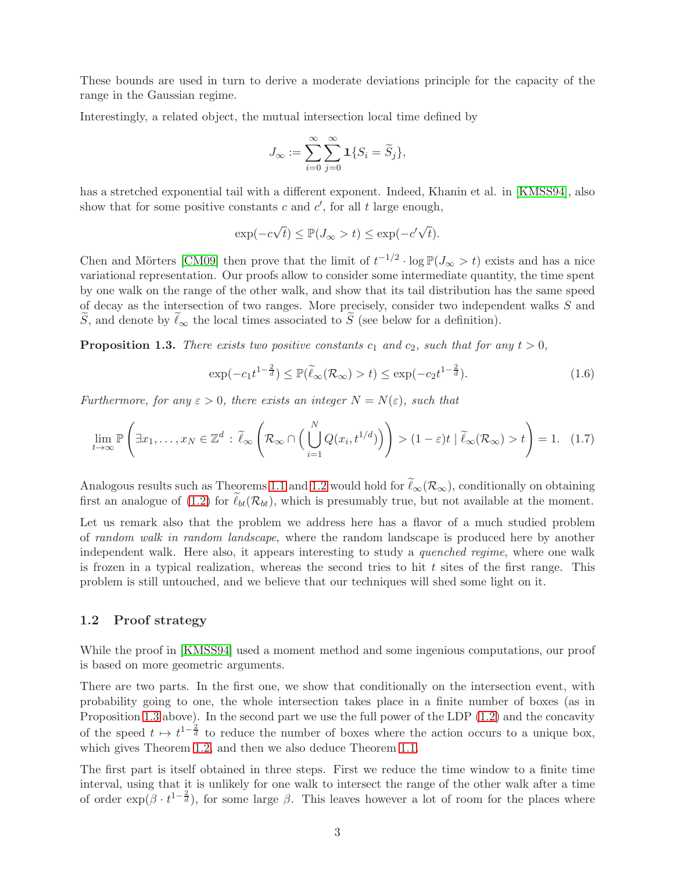These bounds are used in turn to derive a moderate deviations principle for the capacity of the range in the Gaussian regime.

Interestingly, a related object, the mutual intersection local time defined by

$$
J_{\infty} := \sum_{i=0}^{\infty} \sum_{j=0}^{\infty} \mathbf{1} \{ S_i = \widetilde{S}_j \},
$$

has a stretched exponential tail with a different exponent. Indeed, Khanin et al. in [\[KMSS94\]](#page-19-0), also show that for some positive constants  $c$  and  $c'$ , for all  $t$  large enough,

$$
\exp(-c\sqrt{t}) \le \mathbb{P}(J_{\infty} > t) \le \exp(-c'\sqrt{t}).
$$

Chen and Mörters [\[CM09\]](#page-19-7) then prove that the limit of  $t^{-1/2} \cdot \log \mathbb{P}(J_{\infty} > t)$  exists and has a nice variational representation. Our proofs allow to consider some intermediate quantity, the time spent by one walk on the range of the other walk, and show that its tail distribution has the same speed of decay as the intersection of two ranges. More precisely, consider two independent walks S and S, and denote by  $\ell_{\infty}$  the local times associated to S (see below for a definition).

<span id="page-2-0"></span>**Proposition 1.3.** There exists two positive constants  $c_1$  and  $c_2$ , such that for any  $t > 0$ ,

<span id="page-2-1"></span>
$$
\exp(-c_1 t^{1-\frac{2}{d}}) \le \mathbb{P}(\widetilde{\ell}_{\infty}(\mathcal{R}_{\infty}) > t) \le \exp(-c_2 t^{1-\frac{2}{d}}). \tag{1.6}
$$

Furthermore, for any  $\varepsilon > 0$ , there exists an integer  $N = N(\varepsilon)$ , such that

<span id="page-2-2"></span>
$$
\lim_{t \to \infty} \mathbb{P}\left(\exists x_1, \dots, x_N \in \mathbb{Z}^d : \widetilde{\ell}_{\infty} \left(\mathcal{R}_{\infty} \cap \left(\bigcup_{i=1}^N Q(x_i, t^{1/d})\right)\right) > (1-\varepsilon)t \mid \widetilde{\ell}_{\infty}(\mathcal{R}_{\infty}) > t\right) = 1. \quad (1.7)
$$

Analogous results such as Theorems [1.1](#page-1-1) and [1.2](#page-1-0) would hold for  $\tilde{\ell}_{\infty}(\mathcal{R}_{\infty})$ , conditionally on obtaining first an analogue of [\(1.2\)](#page-0-0) for  $\ell_{bt}(\mathcal{R}_{bt})$ , which is presumably true, but not available at the moment.

Let us remark also that the problem we address here has a flavor of a much studied problem of random walk in random landscape, where the random landscape is produced here by another independent walk. Here also, it appears interesting to study a *quenched regime*, where one walk is frozen in a typical realization, whereas the second tries to hit  $t$  sites of the first range. This problem is still untouched, and we believe that our techniques will shed some light on it.

#### 1.2 Proof strategy

While the proof in [\[KMSS94\]](#page-19-0) used a moment method and some ingenious computations, our proof is based on more geometric arguments.

There are two parts. In the first one, we show that conditionally on the intersection event, with probability going to one, the whole intersection takes place in a finite number of boxes (as in Proposition [1.3](#page-2-0) above). In the second part we use the full power of the LDP [\(1.2\)](#page-0-0) and the concavity of the speed  $t \mapsto t^{1-\frac{2}{d}}$  to reduce the number of boxes where the action occurs to a unique box, which gives Theorem [1.2,](#page-1-0) and then we also deduce Theorem [1.1.](#page-1-1)

The first part is itself obtained in three steps. First we reduce the time window to a finite time interval, using that it is unlikely for one walk to intersect the range of the other walk after a time of order  $\exp(\beta \cdot t^{1-\frac{2}{d}})$ , for some large  $\beta$ . This leaves however a lot of room for the places where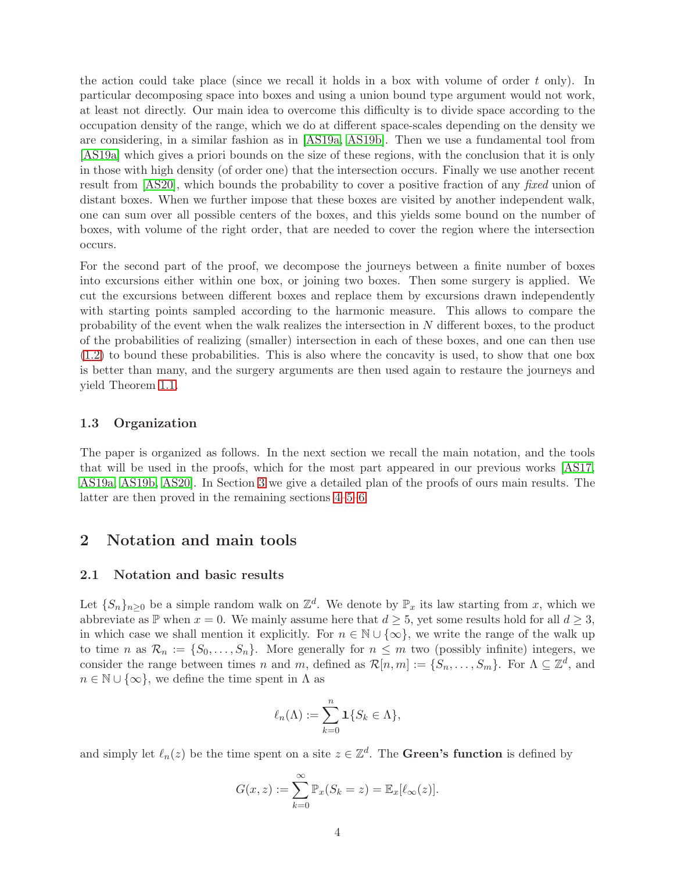the action could take place (since we recall it holds in a box with volume of order t only). In particular decomposing space into boxes and using a union bound type argument would not work, at least not directly. Our main idea to overcome this difficulty is to divide space according to the occupation density of the range, which we do at different space-scales depending on the density we are considering, in a similar fashion as in [\[AS19a,](#page-18-1) [AS19b\]](#page-18-2). Then we use a fundamental tool from [\[AS19a\]](#page-18-1) which gives a priori bounds on the size of these regions, with the conclusion that it is only in those with high density (of order one) that the intersection occurs. Finally we use another recent result from [\[AS20\]](#page-19-3), which bounds the probability to cover a positive fraction of any fixed union of distant boxes. When we further impose that these boxes are visited by another independent walk, one can sum over all possible centers of the boxes, and this yields some bound on the number of boxes, with volume of the right order, that are needed to cover the region where the intersection occurs.

For the second part of the proof, we decompose the journeys between a finite number of boxes into excursions either within one box, or joining two boxes. Then some surgery is applied. We cut the excursions between different boxes and replace them by excursions drawn independently with starting points sampled according to the harmonic measure. This allows to compare the probability of the event when the walk realizes the intersection in N different boxes, to the product of the probabilities of realizing (smaller) intersection in each of these boxes, and one can then use [\(1.2\)](#page-0-0) to bound these probabilities. This is also where the concavity is used, to show that one box is better than many, and the surgery arguments are then used again to restaure the journeys and yield Theorem [1.1.](#page-1-1)

### 1.3 Organization

The paper is organized as follows. In the next section we recall the main notation, and the tools that will be used in the proofs, which for the most part appeared in our previous works [\[AS17,](#page-18-0) [AS19a,](#page-18-1) [AS19b,](#page-18-2) [AS20\]](#page-19-3). In Section [3](#page-6-0) we give a detailed plan of the proofs of ours main results. The latter are then proved in the remaining sections [4–](#page-7-0)[5–](#page-11-0)[6.](#page-13-0)

# 2 Notation and main tools

#### 2.1 Notation and basic results

Let  $\{S_n\}_{n\geq 0}$  be a simple random walk on  $\mathbb{Z}^d$ . We denote by  $\mathbb{P}_x$  its law starting from x, which we abbreviate as P when  $x = 0$ . We mainly assume here that  $d \geq 5$ , yet some results hold for all  $d \geq 3$ , in which case we shall mention it explicitly. For  $n \in \mathbb{N} \cup \{\infty\}$ , we write the range of the walk up to time n as  $\mathcal{R}_n := \{S_0, \ldots, S_n\}$ . More generally for  $n \leq m$  two (possibly infinite) integers, we consider the range between times n and m, defined as  $\mathcal{R}[n,m] := \{S_n, \ldots, S_m\}$ . For  $\Lambda \subseteq \mathbb{Z}^d$ , and  $n \in \mathbb{N} \cup \{\infty\}$ , we define the time spent in  $\Lambda$  as

$$
\ell_n(\Lambda) := \sum_{k=0}^n \mathbf{1}\{S_k \in \Lambda\},\
$$

and simply let  $\ell_n(z)$  be the time spent on a site  $z \in \mathbb{Z}^d$ . The **Green's function** is defined by

$$
G(x, z) := \sum_{k=0}^{\infty} \mathbb{P}_x(S_k = z) = \mathbb{E}_x[\ell_\infty(z)].
$$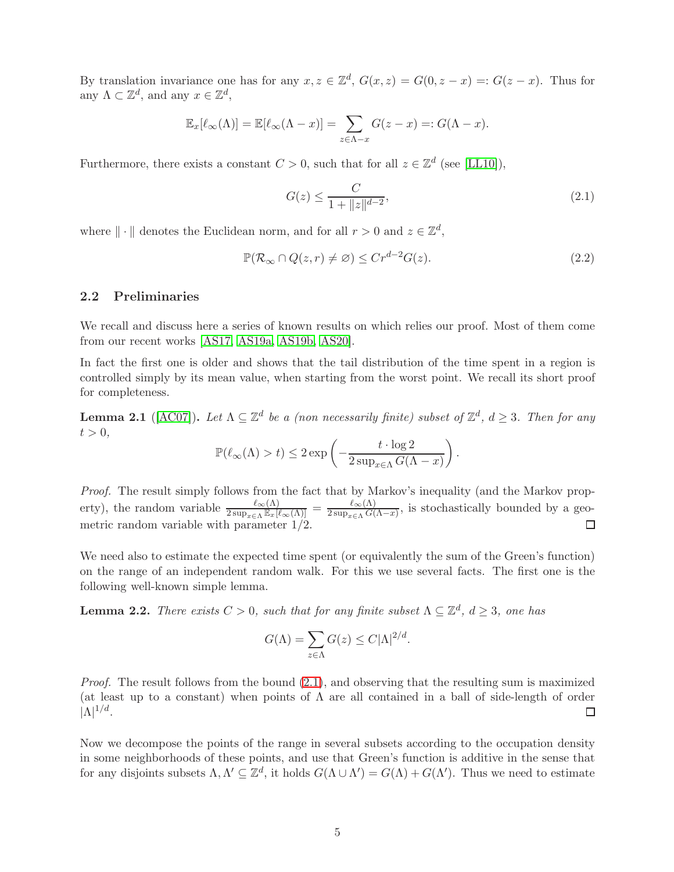By translation invariance one has for any  $x, z \in \mathbb{Z}^d$ ,  $G(x, z) = G(0, z - x) =: G(z - x)$ . Thus for any  $\Lambda \subset \mathbb{Z}^d$ , and any  $x \in \mathbb{Z}^d$ ,

$$
\mathbb{E}_x[\ell_\infty(\Lambda)] = \mathbb{E}[\ell_\infty(\Lambda - x)] = \sum_{z \in \Lambda - x} G(z - x) =: G(\Lambda - x).
$$

Furthermore, there exists a constant  $C > 0$ , such that for all  $z \in \mathbb{Z}^d$  (see [\[LL10\]](#page-19-8)),

<span id="page-4-0"></span>
$$
G(z) \le \frac{C}{1 + \|z\|^{d-2}},\tag{2.1}
$$

where  $\|\cdot\|$  denotes the Euclidean norm, and for all  $r > 0$  and  $z \in \mathbb{Z}^d$ ,

<span id="page-4-3"></span>
$$
\mathbb{P}(\mathcal{R}_{\infty} \cap Q(z,r) \neq \varnothing) \leq Cr^{d-2}G(z). \tag{2.2}
$$

### 2.2 Preliminaries

We recall and discuss here a series of known results on which relies our proof. Most of them come from our recent works [\[AS17,](#page-18-0) [AS19a,](#page-18-1) [AS19b,](#page-18-2) [AS20\]](#page-19-3).

In fact the first one is older and shows that the tail distribution of the time spent in a region is controlled simply by its mean value, when starting from the worst point. We recall its short proof for completeness.

<span id="page-4-2"></span>**Lemma 2.1** ([\[AC07\]](#page-18-3)). Let  $\Lambda \subseteq \mathbb{Z}^d$  be a (non necessarily finite) subset of  $\mathbb{Z}^d$ ,  $d \geq 3$ . Then for any  $t > 0$ .

$$
\mathbb{P}(\ell_{\infty}(\Lambda) > t) \leq 2 \exp\left(-\frac{t \cdot \log 2}{2 \sup_{x \in \Lambda} G(\Lambda - x)}\right).
$$

Proof. The result simply follows from the fact that by Markov's inequality (and the Markov property), the random variable  $\frac{\ell_{\infty}(\Lambda)}{2 \sup_{x \in \Lambda} \mathbb{E}_x[\ell_{\infty}(\Lambda)]} = \frac{\ell_{\infty}(\Lambda)}{2 \sup_{x \in \Lambda} G(\Lambda)}$  $\frac{\ell_{\infty}(\Lambda)}{2 \sup_{x \in \Lambda} G(\Lambda - x)}$ , is stochastically bounded by a geo- $\Box$ metric random variable with parameter 1/2.

We need also to estimate the expected time spent (or equivalently the sum of the Green's function) on the range of an independent random walk. For this we use several facts. The first one is the following well-known simple lemma.

<span id="page-4-1"></span>**Lemma 2.2.** There exists  $C > 0$ , such that for any finite subset  $\Lambda \subseteq \mathbb{Z}^d$ ,  $d \geq 3$ , one has

$$
G(\Lambda) = \sum_{z \in \Lambda} G(z) \le C|\Lambda|^{2/d}.
$$

Proof. The result follows from the bound  $(2.1)$ , and observing that the resulting sum is maximized (at least up to a constant) when points of  $\Lambda$  are all contained in a ball of side-length of order  $|\Lambda|^{1/d}$ .  $\Box$ 

Now we decompose the points of the range in several subsets according to the occupation density in some neighborhoods of these points, and use that Green's function is additive in the sense that for any disjoints subsets  $\Lambda, \Lambda' \subseteq \mathbb{Z}^d$ , it holds  $G(\Lambda \cup \Lambda') = G(\Lambda) + G(\Lambda')$ . Thus we need to estimate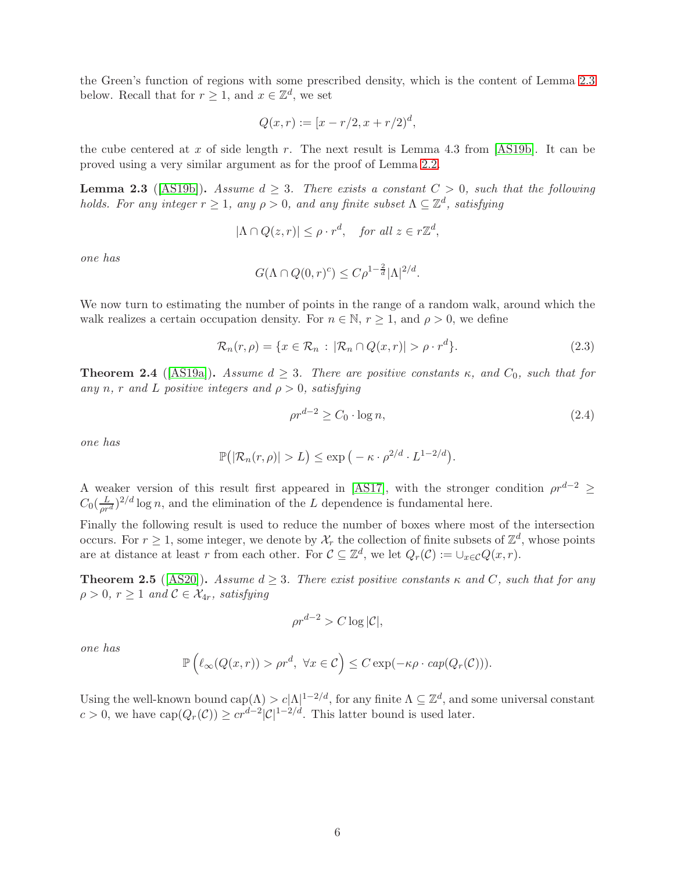the Green's function of regions with some prescribed density, which is the content of Lemma [2.3](#page-5-0) below. Recall that for  $r \geq 1$ , and  $x \in \mathbb{Z}^d$ , we set

$$
Q(x,r) := [x - r/2, x + r/2]^d,
$$

the cube centered at x of side length r. The next result is Lemma 4.3 from  $[AS19b]$ . It can be proved using a very similar argument as for the proof of Lemma [2.2.](#page-4-1)

<span id="page-5-0"></span>**Lemma 2.3** ([\[AS19b\]](#page-18-2)). Assume  $d \geq 3$ . There exists a constant  $C > 0$ , such that the following holds. For any integer  $r \ge 1$ , any  $\rho > 0$ , and any finite subset  $\Lambda \subseteq \mathbb{Z}^d$ , satisfying

$$
|\Lambda \cap Q(z,r)| \le \rho \cdot r^d, \quad \text{for all } z \in r\mathbb{Z}^d,
$$

one has

$$
G(\Lambda \cap Q(0,r)^c) \leq C\rho^{1-\frac{2}{d}}|\Lambda|^{2/d}.
$$

We now turn to estimating the number of points in the range of a random walk, around which the walk realizes a certain occupation density. For  $n \in \mathbb{N}$ ,  $r \geq 1$ , and  $\rho > 0$ , we define

<span id="page-5-1"></span>
$$
\mathcal{R}_n(r,\rho) = \{x \in \mathcal{R}_n : |\mathcal{R}_n \cap Q(x,r)| > \rho \cdot r^d\}.
$$
\n(2.3)

<span id="page-5-2"></span>**Theorem 2.4** ([\[AS19a\]](#page-18-1)). Assume  $d \geq 3$ . There are positive constants  $\kappa$ , and  $C_0$ , such that for any n, r and L positive integers and  $\rho > 0$ , satisfying

<span id="page-5-3"></span>
$$
\rho r^{d-2} \ge C_0 \cdot \log n,\tag{2.4}
$$

one has

$$
\mathbb{P}(|\mathcal{R}_n(r,\rho)|>L)\leq \exp\big(-\kappa\cdot\rho^{2/d}\cdot L^{1-2/d}\big).
$$

A weaker version of this result first appeared in [\[AS17\]](#page-18-0), with the stronger condition  $\rho r^{d-2} \geq$  $C_0(\frac{L}{\rho r^d})^{2/d} \log n$ , and the elimination of the L dependence is fundamental here.

Finally the following result is used to reduce the number of boxes where most of the intersection occurs. For  $r \geq 1$ , some integer, we denote by  $\mathcal{X}_r$  the collection of finite subsets of  $\mathbb{Z}^d$ , whose points are at distance at least r from each other. For  $C \subseteq \mathbb{Z}^d$ , we let  $Q_r(C) := \cup_{x \in C} Q(x, r)$ .

<span id="page-5-4"></span>**Theorem 2.5** ([\[AS20\]](#page-19-3)). Assume  $d \geq 3$ . There exist positive constants  $\kappa$  and C, such that for any  $\rho > 0, r \geq 1$  and  $C \in \mathcal{X}_{4r}$ , satisfying

$$
\rho r^{d-2} > C \log |\mathcal{C}|,
$$

one has

$$
\mathbb{P}\left(\ell_{\infty}(Q(x,r)) > \rho r^d, \ \forall x \in C\right) \leq C \exp(-\kappa \rho \cdot \exp(Q_r(C))).
$$

Using the well-known bound  $\text{cap}(\Lambda) > c|\Lambda|^{1-2/d}$ , for any finite  $\Lambda \subseteq \mathbb{Z}^d$ , and some universal constant  $c > 0$ , we have  $cap(Q_r(\mathcal{C})) \geq cr^{d-2}|\mathcal{C}|^{1-2/d}$ . This latter bound is used later.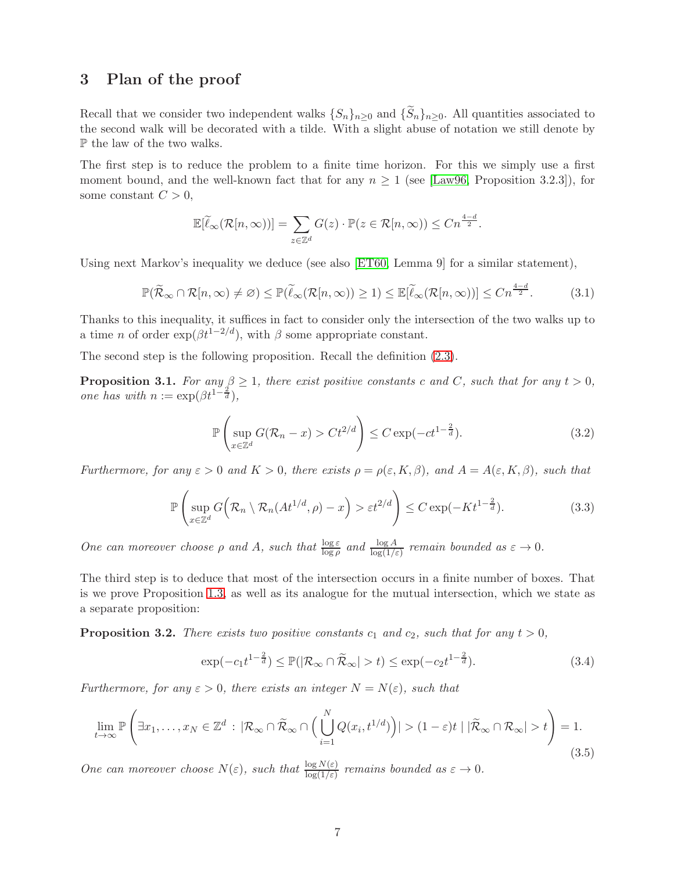### <span id="page-6-0"></span>3 Plan of the proof

Recall that we consider two independent walks  $\{S_n\}_{n>0}$  and  $\{\tilde{S}_n\}_{n>0}$ . All quantities associated to the second walk will be decorated with a tilde. With a slight abuse of notation we still denote by P the law of the two walks.

The first step is to reduce the problem to a finite time horizon. For this we simply use a first moment bound, and the well-known fact that for any  $n \geq 1$  (see [\[Law96,](#page-19-9) Proposition 3.2.3]), for some constant  $C > 0$ ,

$$
\mathbb{E}[\widetilde{\ell}_{\infty}(\mathcal{R}[n,\infty))] = \sum_{z \in \mathbb{Z}^d} G(z) \cdot \mathbb{P}(z \in \mathcal{R}[n,\infty)) \le Cn^{\frac{4-d}{2}}.
$$

Using next Markov's inequality we deduce (see also [\[ET60,](#page-19-5) Lemma 9] for a similar statement),

<span id="page-6-3"></span>
$$
\mathbb{P}(\widetilde{\mathcal{R}}_{\infty} \cap \mathcal{R}[n,\infty) \neq \varnothing) \leq \mathbb{P}(\widetilde{\ell}_{\infty}(\mathcal{R}[n,\infty)) \geq 1) \leq \mathbb{E}[\widetilde{\ell}_{\infty}(\mathcal{R}[n,\infty))] \leq Cn^{\frac{4-d}{2}}.
$$
 (3.1)

Thanks to this inequality, it suffices in fact to consider only the intersection of the two walks up to a time *n* of order  $\exp(\beta t^{1-2/d})$ , with  $\beta$  some appropriate constant.

The second step is the following proposition. Recall the definition [\(2.3\)](#page-5-1).

<span id="page-6-7"></span>**Proposition 3.1.** For any  $\beta \geq 1$ , there exist positive constants c and C, such that for any  $t > 0$ , one has with  $n := \exp(\beta t^{1-\frac{2}{d}}),$ 

<span id="page-6-4"></span>
$$
\mathbb{P}\left(\sup_{x\in\mathbb{Z}^d} G(\mathcal{R}_n - x) > Ct^{2/d}\right) \le C \exp(-ct^{1-\frac{2}{d}}). \tag{3.2}
$$

Furthermore, for any  $\varepsilon > 0$  and  $K > 0$ , there exists  $\rho = \rho(\varepsilon, K, \beta)$ , and  $A = A(\varepsilon, K, \beta)$ , such that

<span id="page-6-6"></span>
$$
\mathbb{P}\left(\sup_{x\in\mathbb{Z}^d} G\left(\mathcal{R}_n\setminus\mathcal{R}_n(At^{1/d},\rho)-x\right)>\varepsilon t^{2/d}\right)\leq C\exp(-Kt^{1-\frac{2}{d}}). \tag{3.3}
$$

One can moreover choose  $\rho$  and A, such that  $\frac{\log \varepsilon}{\log \rho}$  and  $\frac{\log A}{\log(1/\varepsilon)}$  remain bounded as  $\varepsilon \to 0$ .

The third step is to deduce that most of the intersection occurs in a finite number of boxes. That is we prove Proposition [1.3,](#page-2-0) as well as its analogue for the mutual intersection, which we state as a separate proposition:

<span id="page-6-2"></span>**Proposition 3.2.** There exists two positive constants  $c_1$  and  $c_2$ , such that for any  $t > 0$ ,

<span id="page-6-1"></span>
$$
\exp(-c_1 t^{1-\frac{2}{d}}) \le \mathbb{P}(|\mathcal{R}_{\infty} \cap \widetilde{\mathcal{R}}_{\infty}| > t) \le \exp(-c_2 t^{1-\frac{2}{d}}). \tag{3.4}
$$

Furthermore, for any  $\varepsilon > 0$ , there exists an integer  $N = N(\varepsilon)$ , such that

<span id="page-6-5"></span>
$$
\lim_{t \to \infty} \mathbb{P}\left(\exists x_1, \dots, x_N \in \mathbb{Z}^d : |\mathcal{R}_{\infty} \cap \widetilde{\mathcal{R}}_{\infty} \cap \left(\bigcup_{i=1}^N Q(x_i, t^{1/d})\right)| > (1-\varepsilon)t | |\widetilde{\mathcal{R}}_{\infty} \cap \mathcal{R}_{\infty}| > t\right) = 1.
$$
\n(3.5)

One can moreover choose  $N(\varepsilon)$ , such that  $\frac{\log N(\varepsilon)}{\log(1/\varepsilon)}$  remains bounded as  $\varepsilon \to 0$ .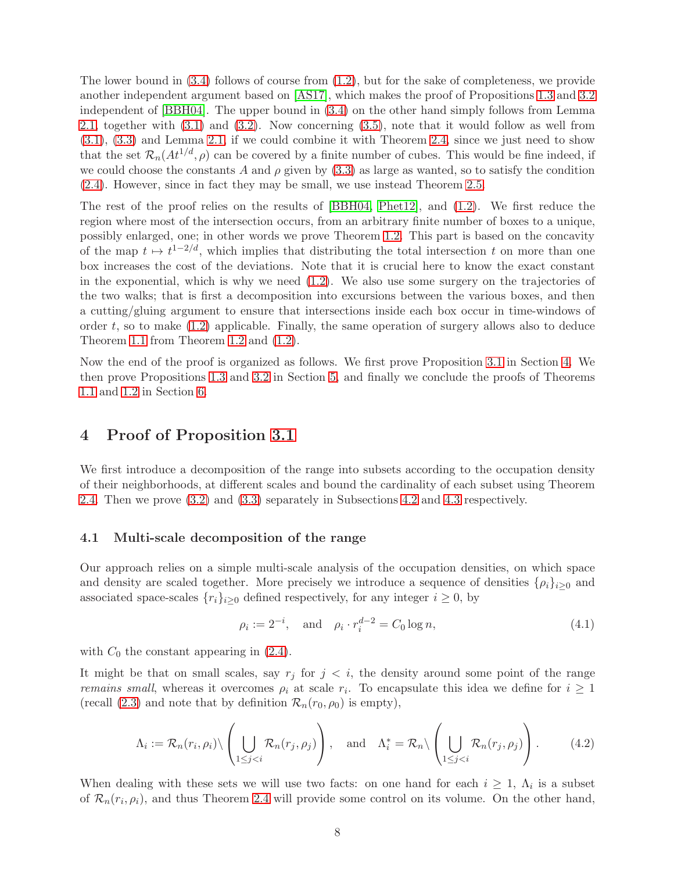The lower bound in  $(3.4)$  follows of course from  $(1.2)$ , but for the sake of completeness, we provide another independent argument based on [\[AS17\]](#page-18-0), which makes the proof of Propositions [1.3](#page-2-0) and [3.2](#page-6-2) independent of [\[BBH04\]](#page-19-1). The upper bound in [\(3.4\)](#page-6-1) on the other hand simply follows from Lemma [2.1,](#page-4-2) together with [\(3.1\)](#page-6-3) and [\(3.2\)](#page-6-4). Now concerning [\(3.5\)](#page-6-5), note that it would follow as well from [\(3.1\)](#page-6-3), [\(3.3\)](#page-6-6) and Lemma [2.1,](#page-4-2) if we could combine it with Theorem [2.4,](#page-5-2) since we just need to show that the set  $\mathcal{R}_n(At^{1/d}, \rho)$  can be covered by a finite number of cubes. This would be fine indeed, if we could choose the constants A and  $\rho$  given by [\(3.3\)](#page-6-6) as large as wanted, so to satisfy the condition [\(2.4\)](#page-5-3). However, since in fact they may be small, we use instead Theorem [2.5.](#page-5-4)

The rest of the proof relies on the results of [\[BBH04,](#page-19-1) [Phet12\]](#page-19-2), and [\(1.2\)](#page-0-0). We first reduce the region where most of the intersection occurs, from an arbitrary finite number of boxes to a unique, possibly enlarged, one; in other words we prove Theorem [1.2.](#page-1-0) This part is based on the concavity of the map  $t \mapsto t^{1-2/d}$ , which implies that distributing the total intersection t on more than one box increases the cost of the deviations. Note that it is crucial here to know the exact constant in the exponential, which is why we need  $(1.2)$ . We also use some surgery on the trajectories of the two walks; that is first a decomposition into excursions between the various boxes, and then a cutting/gluing argument to ensure that intersections inside each box occur in time-windows of order  $t$ , so to make  $(1.2)$  applicable. Finally, the same operation of surgery allows also to deduce Theorem [1.1](#page-1-1) from Theorem [1.2](#page-1-0) and [\(1.2\)](#page-0-0).

Now the end of the proof is organized as follows. We first prove Proposition [3.1](#page-6-7) in Section [4.](#page-7-0) We then prove Propositions [1.3](#page-2-0) and [3.2](#page-6-2) in Section [5,](#page-11-0) and finally we conclude the proofs of Theorems [1.1](#page-1-1) and [1.2](#page-1-0) in Section [6.](#page-13-0)

### <span id="page-7-0"></span>4 Proof of Proposition [3.1](#page-6-7)

We first introduce a decomposition of the range into subsets according to the occupation density of their neighborhoods, at different scales and bound the cardinality of each subset using Theorem [2.4.](#page-5-2) Then we prove [\(3.2\)](#page-6-4) and [\(3.3\)](#page-6-6) separately in Subsections [4.2](#page-9-0) and [4.3](#page-10-0) respectively.

#### 4.1 Multi-scale decomposition of the range

Our approach relies on a simple multi-scale analysis of the occupation densities, on which space and density are scaled together. More precisely we introduce a sequence of densities  $\{\rho_i\}_{i>0}$  and associated space-scales  $\{r_i\}_{i\geq 0}$  defined respectively, for any integer  $i \geq 0$ , by

<span id="page-7-2"></span>
$$
\rho_i := 2^{-i}, \text{ and } \rho_i \cdot r_i^{d-2} = C_0 \log n,
$$
\n(4.1)

with  $C_0$  the constant appearing in  $(2.4)$ .

It might be that on small scales, say  $r_j$  for  $j < i$ , the density around some point of the range *remains small*, whereas it overcomes  $\rho_i$  at scale  $r_i$ . To encapsulate this idea we define for  $i \geq 1$ (recall [\(2.3\)](#page-5-1) and note that by definition  $\mathcal{R}_n(r_0, \rho_0)$  is empty),

<span id="page-7-1"></span>
$$
\Lambda_i := \mathcal{R}_n(r_i, \rho_i) \setminus \left( \bigcup_{1 \leq j < i} \mathcal{R}_n(r_j, \rho_j) \right), \quad \text{and} \quad \Lambda_i^* = \mathcal{R}_n \setminus \left( \bigcup_{1 \leq j < i} \mathcal{R}_n(r_j, \rho_j) \right). \tag{4.2}
$$

When dealing with these sets we will use two facts: on one hand for each  $i \geq 1$ ,  $\Lambda_i$  is a subset of  $\mathcal{R}_n(r_i, \rho_i)$ , and thus Theorem [2.4](#page-5-2) will provide some control on its volume. On the other hand,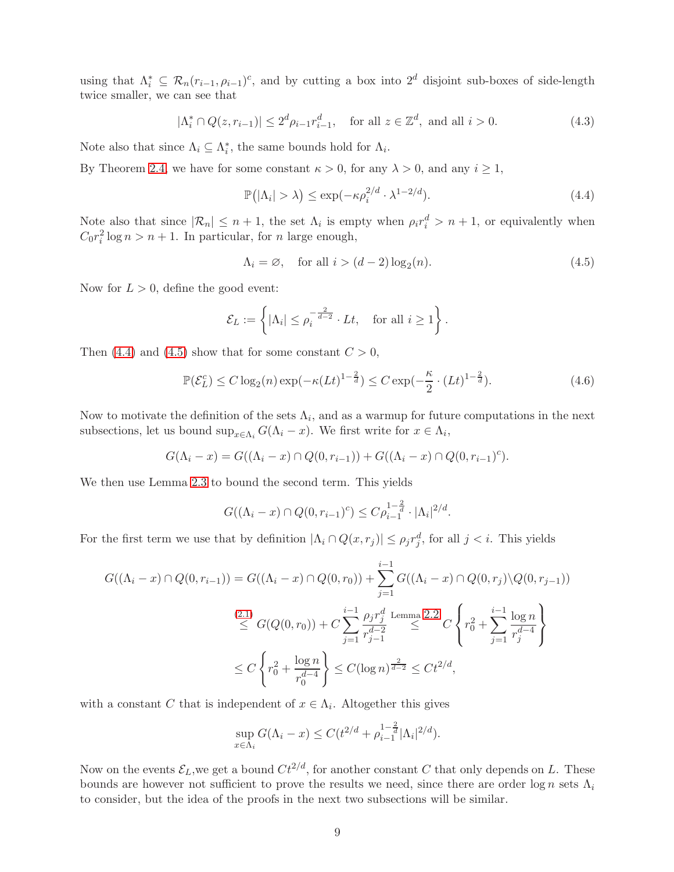using that  $\Lambda_i^* \subseteq \mathcal{R}_n(r_{i-1}, \rho_{i-1})^c$ , and by cutting a box into  $2^d$  disjoint sub-boxes of side-length twice smaller, we can see that

<span id="page-8-3"></span>
$$
|\Lambda_i^* \cap Q(z, r_{i-1})| \le 2^d \rho_{i-1} r_{i-1}^d, \quad \text{for all } z \in \mathbb{Z}^d, \text{ and all } i > 0.
$$
 (4.3)

Note also that since  $\Lambda_i \subseteq \Lambda_i^*$ , the same bounds hold for  $\Lambda_i$ .

By Theorem [2.4,](#page-5-2) we have for some constant  $\kappa > 0$ , for any  $\lambda > 0$ , and any  $i \ge 1$ ,

<span id="page-8-0"></span>
$$
\mathbb{P}(|\Lambda_i| > \lambda) \le \exp(-\kappa \rho_i^{2/d} \cdot \lambda^{1-2/d}).\tag{4.4}
$$

Note also that since  $|\mathcal{R}_n| \leq n+1$ , the set  $\Lambda_i$  is empty when  $\rho_i r_i^d > n+1$ , or equivalently when  $C_0 r_i^2 \log n > n + 1$ . In particular, for *n* large enough,

<span id="page-8-1"></span>
$$
\Lambda_i = \varnothing, \quad \text{for all } i > (d-2)\log_2(n). \tag{4.5}
$$

Now for  $L > 0$ , define the good event:

$$
\mathcal{E}_L := \left\{ |\Lambda_i| \le \rho_i^{-\frac{2}{d-2}} \cdot Lt, \text{ for all } i \ge 1 \right\}.
$$

Then [\(4.4\)](#page-8-0) and [\(4.5\)](#page-8-1) show that for some constant  $C > 0$ ,

<span id="page-8-2"></span>
$$
\mathbb{P}(\mathcal{E}_L^c) \le C \log_2(n) \exp(-\kappa (Lt)^{1-\frac{2}{d}}) \le C \exp(-\frac{\kappa}{2} \cdot (Lt)^{1-\frac{2}{d}}). \tag{4.6}
$$

Now to motivate the definition of the sets  $\Lambda_i$ , and as a warmup for future computations in the next subsections, let us bound  $\sup_{x \in \Lambda_i} G(\Lambda_i - x)$ . We first write for  $x \in \Lambda_i$ ,

$$
G(\Lambda_i - x) = G((\Lambda_i - x) \cap Q(0, r_{i-1})) + G((\Lambda_i - x) \cap Q(0, r_{i-1})^c).
$$

We then use Lemma [2.3](#page-5-0) to bound the second term. This yields

$$
G((\Lambda_i - x) \cap Q(0, r_{i-1})^c) \leq C \rho_{i-1}^{1-\frac{2}{d}} \cdot |\Lambda_i|^{2/d}.
$$

For the first term we use that by definition  $|\Lambda_i \cap Q(x,r_j)| \le \rho_j r_j^d$ , for all  $j < i$ . This yields

$$
G((\Lambda_i - x) \cap Q(0, r_{i-1})) = G((\Lambda_i - x) \cap Q(0, r_0)) + \sum_{j=1}^{i-1} G((\Lambda_i - x) \cap Q(0, r_j) \setminus Q(0, r_{j-1}))
$$
  

$$
\stackrel{(2.1)}{\leq} G(Q(0, r_0)) + C \sum_{j=1}^{i-1} \frac{\rho_j r_j^d}{r_{j-1}^{d-2}} \stackrel{\text{Lemma 2.2}}{\leq} C \left\{ r_0^2 + \sum_{j=1}^{i-1} \frac{\log n}{r_j^{d-4}} \right\}
$$
  

$$
\leq C \left\{ r_0^2 + \frac{\log n}{r_0^{d-4}} \right\} \leq C (\log n)^{\frac{2}{d-2}} \leq C t^{2/d},
$$

with a constant C that is independent of  $x \in \Lambda_i$ . Altogether this gives

$$
\sup_{x \in \Lambda_i} G(\Lambda_i - x) \le C(t^{2/d} + \rho_{i-1}^{1-\frac{2}{d}} |\Lambda_i|^{2/d}).
$$

Now on the events  $\mathcal{E}_L$ , we get a bound  $Ct^{2/d}$ , for another constant C that only depends on L. These bounds are however not sufficient to prove the results we need, since there are order  $\log n$  sets  $\Lambda_i$ to consider, but the idea of the proofs in the next two subsections will be similar.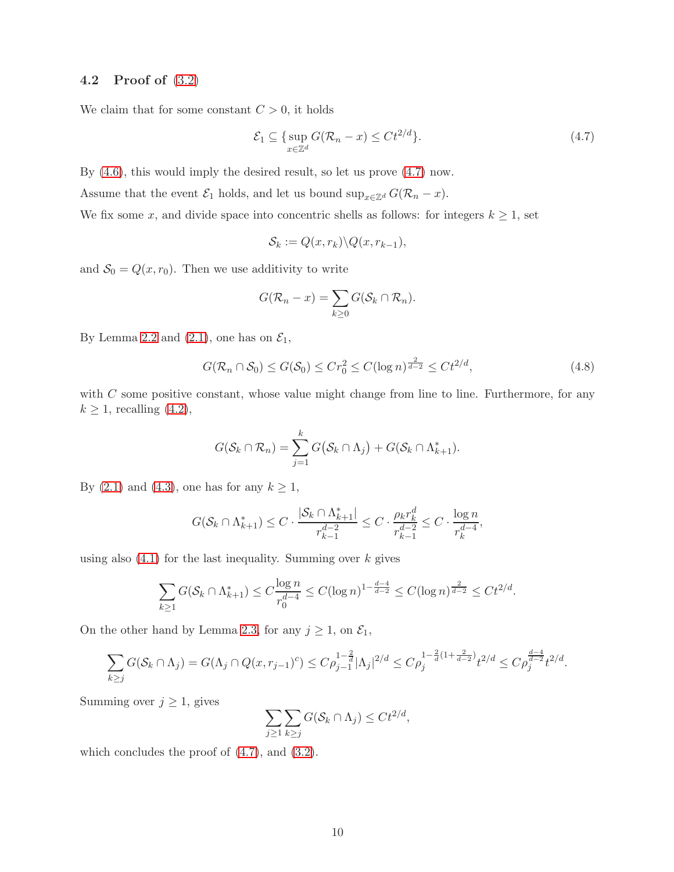### <span id="page-9-0"></span>4.2 Proof of [\(3.2\)](#page-6-4)

We claim that for some constant  $C > 0$ , it holds

<span id="page-9-1"></span>
$$
\mathcal{E}_1 \subseteq \{ \sup_{x \in \mathbb{Z}^d} G(\mathcal{R}_n - x) \le Ct^{2/d} \}. \tag{4.7}
$$

By [\(4.6\)](#page-8-2), this would imply the desired result, so let us prove [\(4.7\)](#page-9-1) now.

Assume that the event  $\mathcal{E}_1$  holds, and let us bound sup<sub>x∈Zd</sub>  $G(\mathcal{R}_n - x)$ .

We fix some x, and divide space into concentric shells as follows: for integers  $k \geq 1$ , set

$$
\mathcal{S}_k := Q(x, r_k) \backslash Q(x, r_{k-1}),
$$

and  $S_0 = Q(x, r_0)$ . Then we use additivity to write

$$
G(\mathcal{R}_n - x) = \sum_{k \geq 0} G(\mathcal{S}_k \cap \mathcal{R}_n).
$$

By Lemma [2.2](#page-4-1) and [\(2.1\)](#page-4-0), one has on  $\mathcal{E}_1$ ,

$$
G(\mathcal{R}_n \cap \mathcal{S}_0) \le G(\mathcal{S}_0) \le Cr_0^2 \le C(\log n)^{\frac{2}{d-2}} \le Ct^{2/d},\tag{4.8}
$$

with  $C$  some positive constant, whose value might change from line to line. Furthermore, for any  $k \geq 1$ , recalling [\(4.2\)](#page-7-1),

$$
G(\mathcal{S}_k \cap \mathcal{R}_n) = \sum_{j=1}^k G(\mathcal{S}_k \cap \Lambda_j) + G(\mathcal{S}_k \cap \Lambda_{k+1}^*).
$$

By [\(2.1\)](#page-4-0) and [\(4.3\)](#page-8-3), one has for any  $k \geq 1$ ,

$$
G(\mathcal{S}_k \cap \Lambda_{k+1}^*) \leq C \cdot \frac{|\mathcal{S}_k \cap \Lambda_{k+1}^*|}{r_{k-1}^{d-2}} \leq C \cdot \frac{\rho_k r_k^d}{r_{k-1}^{d-2}} \leq C \cdot \frac{\log n}{r_k^{d-4}},
$$

using also  $(4.1)$  for the last inequality. Summing over k gives

$$
\sum_{k\geq 1} G(\mathcal{S}_k \cap \Lambda_{k+1}^*) \leq C \frac{\log n}{r_0^{d-4}} \leq C (\log n)^{1 - \frac{d-4}{d-2}} \leq C (\log n)^{\frac{2}{d-2}} \leq Ct^{2/d}.
$$

On the other hand by Lemma [2.3,](#page-5-0) for any  $j \ge 1$ , on  $\mathcal{E}_1$ ,

$$
\sum_{k\geq j} G(\mathcal{S}_k \cap \Lambda_j) = G(\Lambda_j \cap Q(x, r_{j-1})^c) \leq C \rho_{j-1}^{1-\frac{2}{d}} |\Lambda_j|^{2/d} \leq C \rho_j^{1-\frac{2}{d}(1+\frac{2}{d-2})} t^{2/d} \leq C \rho_j^{\frac{d-4}{d-2}} t^{2/d}.
$$

Summing over  $j \geq 1$ , gives

$$
\sum_{j\geq 1}\sum_{k\geq j}G(\mathcal{S}_k\cap\Lambda_j)\leq Ct^{2/d},
$$

which concludes the proof of [\(4.7\)](#page-9-1), and [\(3.2\)](#page-6-4).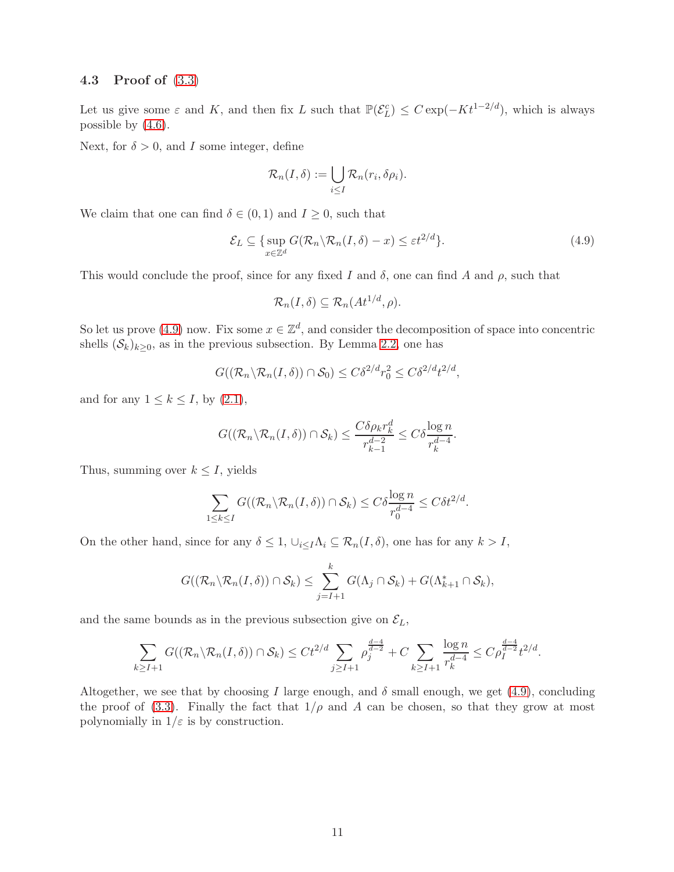### <span id="page-10-0"></span>4.3 Proof of [\(3.3\)](#page-6-6)

Let us give some  $\varepsilon$  and K, and then fix L such that  $\mathbb{P}(\mathcal{E}_L^c) \leq C \exp(-Kt^{1-2/d})$ , which is always possible by  $(4.6)$ .

Next, for  $\delta > 0$ , and I some integer, define

$$
\mathcal{R}_n(I,\delta) := \bigcup_{i \leq I} \mathcal{R}_n(r_i,\delta \rho_i).
$$

We claim that one can find  $\delta \in (0,1)$  and  $I \geq 0$ , such that

<span id="page-10-1"></span>
$$
\mathcal{E}_L \subseteq \{ \sup_{x \in \mathbb{Z}^d} G(\mathcal{R}_n \backslash \mathcal{R}_n(I, \delta) - x) \le \varepsilon t^{2/d} \}. \tag{4.9}
$$

This would conclude the proof, since for any fixed I and  $\delta$ , one can find A and  $\rho$ , such that

$$
\mathcal{R}_n(I,\delta) \subseteq \mathcal{R}_n(At^{1/d},\rho).
$$

So let us prove [\(4.9\)](#page-10-1) now. Fix some  $x \in \mathbb{Z}^d$ , and consider the decomposition of space into concentric shells  $(\mathcal{S}_k)_{k>0}$ , as in the previous subsection. By Lemma [2.2,](#page-4-1) one has

$$
G((\mathcal{R}_n \backslash \mathcal{R}_n(I,\delta)) \cap \mathcal{S}_0) \leq C\delta^{2/d}r_0^2 \leq C\delta^{2/d}t^{2/d},
$$

and for any  $1 \leq k \leq I$ , by  $(2.1)$ ,

$$
G((\mathcal{R}_n \backslash \mathcal{R}_n(I,\delta)) \cap \mathcal{S}_k) \leq \frac{C \delta \rho_k r_k^d}{r_{k-1}^{d-2}} \leq C \delta \frac{\log n}{r_k^{d-4}}.
$$

Thus, summing over  $k \leq I$ , yields

$$
\sum_{1 \leq k \leq I} G((\mathcal{R}_n \backslash \mathcal{R}_n(I, \delta)) \cap \mathcal{S}_k) \leq C \delta \frac{\log n}{r_0^{d-4}} \leq C \delta t^{2/d}.
$$

On the other hand, since for any  $\delta \leq 1$ ,  $\cup_{i\leq I}\Lambda_i \subseteq \mathcal{R}_n(I,\delta)$ , one has for any  $k > I$ ,

$$
G((\mathcal{R}_n \backslash \mathcal{R}_n(I,\delta)) \cap \mathcal{S}_k) \leq \sum_{j=I+1}^k G(\Lambda_j \cap \mathcal{S}_k) + G(\Lambda_{k+1}^* \cap \mathcal{S}_k),
$$

and the same bounds as in the previous subsection give on  $\mathcal{E}_L$ ,

$$
\sum_{k\geq I+1} G((\mathcal{R}_n\setminus\mathcal{R}_n(I,\delta))\cap\mathcal{S}_k)\leq Ct^{2/d}\sum_{j\geq I+1}\rho_j^{\frac{d-4}{d-2}}+C\sum_{k\geq I+1}\frac{\log n}{r_k^{d-4}}\leq C\rho_I^{\frac{d-4}{d-2}}t^{2/d}.
$$

Altogether, we see that by choosing I large enough, and  $\delta$  small enough, we get [\(4.9\)](#page-10-1), concluding the proof of [\(3.3\)](#page-6-6). Finally the fact that  $1/\rho$  and A can be chosen, so that they grow at most polynomially in  $1/\varepsilon$  is by construction.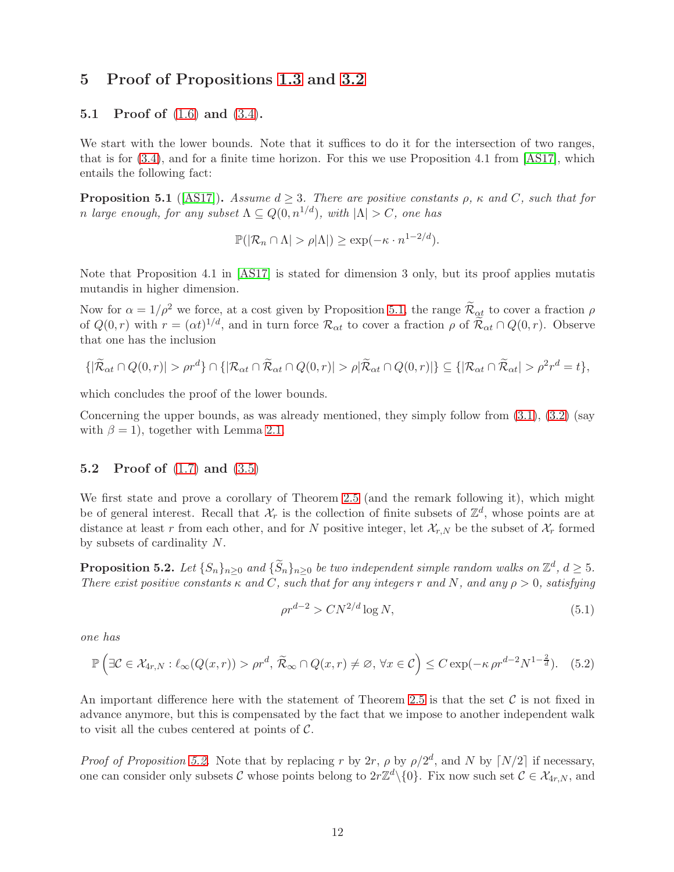### <span id="page-11-0"></span>5 Proof of Propositions [1.3](#page-2-0) and [3.2](#page-6-2)

### 5.1 Proof of [\(1.6\)](#page-2-1) and [\(3.4\)](#page-6-1).

We start with the lower bounds. Note that it suffices to do it for the intersection of two ranges, that is for [\(3.4\)](#page-6-1), and for a finite time horizon. For this we use Proposition 4.1 from [\[AS17\]](#page-18-0), which entails the following fact:

<span id="page-11-1"></span>**Proposition 5.1** ([\[AS17\]](#page-18-0)). Assume  $d \geq 3$ . There are positive constants  $\rho$ ,  $\kappa$  and C, such that for n large enough, for any subset  $\Lambda \subseteq Q(0, n^{1/d})$ , with  $|\Lambda| > C$ , one has

$$
\mathbb{P}(|\mathcal{R}_n \cap \Lambda| > \rho|\Lambda|) \ge \exp(-\kappa \cdot n^{1-2/d}).
$$

Note that Proposition 4.1 in [\[AS17\]](#page-18-0) is stated for dimension 3 only, but its proof applies mutatis mutandis in higher dimension.

Now for  $\alpha = 1/\rho^2$  we force, at a cost given by Proposition [5.1,](#page-11-1) the range  $\widetilde{\mathcal{R}}_{\alpha t}$  to cover a fraction  $\rho$ of  $Q(0,r)$  with  $r = (\alpha t)^{1/d}$ , and in turn force  $\mathcal{R}_{\alpha t}$  to cover a fraction  $\rho$  of  $\widetilde{\mathcal{R}}_{\alpha t} \cap Q(0,r)$ . Observe that one has the inclusion

$$
\{|\widetilde{\mathcal{R}}_{\alpha t} \cap Q(0,r)| > \rho r^d\} \cap \{|\mathcal{R}_{\alpha t} \cap \widetilde{\mathcal{R}}_{\alpha t} \cap Q(0,r)| > \rho |\widetilde{\mathcal{R}}_{\alpha t} \cap Q(0,r)|\} \subseteq \{|\mathcal{R}_{\alpha t} \cap \widetilde{\mathcal{R}}_{\alpha t}| > \rho^2 r^d = t\},\
$$

which concludes the proof of the lower bounds.

Concerning the upper bounds, as was already mentioned, they simply follow from  $(3.1)$ ,  $(3.2)$  (say with  $\beta = 1$ ), together with Lemma [2.1.](#page-4-2)

#### 5.2 Proof of [\(1.7\)](#page-2-2) and [\(3.5\)](#page-6-5)

We first state and prove a corollary of Theorem [2.5](#page-5-4) (and the remark following it), which might be of general interest. Recall that  $\mathcal{X}_r$  is the collection of finite subsets of  $\mathbb{Z}^d$ , whose points are at distance at least r from each other, and for N positive integer, let  $\mathcal{X}_{r,N}$  be the subset of  $\mathcal{X}_r$  formed by subsets of cardinality N.

<span id="page-11-2"></span>**Proposition 5.2.** Let  $\{S_n\}_{n\geq 0}$  and  $\{\widetilde{S}_n\}_{n\geq 0}$  be two independent simple random walks on  $\mathbb{Z}^d$ ,  $d \geq 5$ . There exist positive constants  $\kappa$  and C, such that for any integers r and N, and any  $\rho > 0$ , satisfying

<span id="page-11-3"></span>
$$
\rho r^{d-2} > CN^{2/d} \log N,\tag{5.1}
$$

one has

<span id="page-11-4"></span>
$$
\mathbb{P}\left(\exists \mathcal{C} \in \mathcal{X}_{4r,N} : \ell_{\infty}(Q(x,r)) > \rho r^d, \ \widetilde{\mathcal{R}}_{\infty} \cap Q(x,r) \neq \varnothing, \ \forall x \in \mathcal{C}\right) \leq C \exp(-\kappa \rho r^{d-2} N^{1-\frac{2}{d}}). \tag{5.2}
$$

An important difference here with the statement of Theorem [2.5](#page-5-4) is that the set  $\mathcal C$  is not fixed in advance anymore, but this is compensated by the fact that we impose to another independent walk to visit all the cubes centered at points of  $\mathcal{C}$ .

*Proof of Proposition [5.2.](#page-11-2)* Note that by replacing r by 2r,  $\rho$  by  $\rho/2^d$ , and N by  $\lceil N/2 \rceil$  if necessary, one can consider only subsets C whose points belong to  $2r\mathbb{Z}^d\setminus\{0\}$ . Fix now such set  $C \in \mathcal{X}_{4r,N}$ , and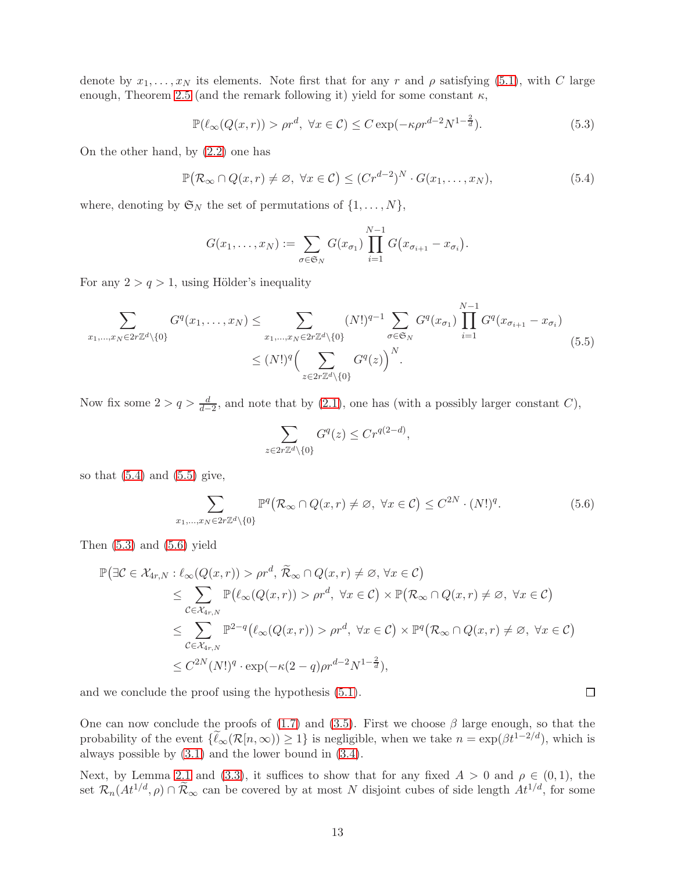denote by  $x_1, \ldots, x_N$  its elements. Note first that for any r and  $\rho$  satisfying [\(5.1\)](#page-11-3), with C large enough, Theorem [2.5](#page-5-4) (and the remark following it) yield for some constant  $\kappa$ ,

<span id="page-12-2"></span>
$$
\mathbb{P}(\ell_{\infty}(Q(x,r)) > \rho r^d, \ \forall x \in \mathcal{C}) \leq C \exp(-\kappa \rho r^{d-2} N^{1-\frac{2}{d}}). \tag{5.3}
$$

On the other hand, by [\(2.2\)](#page-4-3) one has

<span id="page-12-0"></span>
$$
\mathbb{P}(\mathcal{R}_{\infty} \cap Q(x,r) \neq \emptyset, \ \forall x \in C) \leq (Cr^{d-2})^N \cdot G(x_1,\ldots,x_N),\tag{5.4}
$$

where, denoting by  $\mathfrak{S}_N$  the set of permutations of  $\{1, \ldots, N\}$ ,

$$
G(x_1,\ldots,x_N):=\sum_{\sigma\in\mathfrak{S}_N}G(x_{\sigma_1})\prod_{i=1}^{N-1}G(x_{\sigma_{i+1}}-x_{\sigma_i}).
$$

For any  $2 > q > 1$ , using Hölder's inequality

<span id="page-12-1"></span>
$$
\sum_{x_1, ..., x_N \in 2r\mathbb{Z}^d \setminus \{0\}} G^q(x_1, ..., x_N) \le \sum_{x_1, ..., x_N \in 2r\mathbb{Z}^d \setminus \{0\}} (N!)^{q-1} \sum_{\sigma \in \mathfrak{S}_N} G^q(x_{\sigma_1}) \prod_{i=1}^{N-1} G^q(x_{\sigma_{i+1}} - x_{\sigma_i})
$$
\n
$$
\le (N!)^q \Big( \sum_{z \in 2r\mathbb{Z}^d \setminus \{0\}} G^q(z) \Big)^N.
$$
\n(5.5)

Now fix some  $2 > q > \frac{d}{d-2}$ , and note that by [\(2.1\)](#page-4-0), one has (with a possibly larger constant C),

$$
\sum_{z \in 2r\mathbb{Z}^d \setminus \{0\}} G^q(z) \leq Cr^{q(2-d)},
$$

so that  $(5.4)$  and  $(5.5)$  give,

<span id="page-12-3"></span>
$$
\sum_{x_1,\dots,x_N\in 2r\mathbb{Z}^d\backslash\{0\}} \mathbb{P}^q\big(\mathcal{R}_\infty \cap Q(x,r) \neq \varnothing, \ \forall x \in \mathcal{C}\big) \leq C^{2N} \cdot (N!)^q. \tag{5.6}
$$

 $\Box$ 

Then  $(5.3)$  and  $(5.6)$  yield

$$
\mathbb{P}(\exists \mathcal{C} \in \mathcal{X}_{4r,N} : \ell_{\infty}(Q(x,r)) > \rho r^d, \widetilde{\mathcal{R}}_{\infty} \cap Q(x,r) \neq \varnothing, \forall x \in \mathcal{C})
$$
  
\n
$$
\leq \sum_{\mathcal{C} \in \mathcal{X}_{4r,N}} \mathbb{P}(\ell_{\infty}(Q(x,r)) > \rho r^d, \forall x \in \mathcal{C}) \times \mathbb{P}(\mathcal{R}_{\infty} \cap Q(x,r) \neq \varnothing, \forall x \in \mathcal{C})
$$
  
\n
$$
\leq \sum_{\mathcal{C} \in \mathcal{X}_{4r,N}} \mathbb{P}^{2-q}(\ell_{\infty}(Q(x,r)) > \rho r^d, \forall x \in \mathcal{C}) \times \mathbb{P}^{q}(\mathcal{R}_{\infty} \cap Q(x,r) \neq \varnothing, \forall x \in \mathcal{C})
$$
  
\n
$$
\leq C^{2N}(N!)^q \cdot \exp(-\kappa(2-q)\rho r^{d-2}N^{1-\frac{2}{d}}),
$$

and we conclude the proof using the hypothesis [\(5.1\)](#page-11-3).

One can now conclude the proofs of [\(1.7\)](#page-2-2) and [\(3.5\)](#page-6-5). First we choose  $\beta$  large enough, so that the probability of the event  $\{\widetilde{\ell}_{\infty}(\mathcal{R}[n,\infty)) \geq 1\}$  is negligible, when we take  $n = \exp(\beta t^{1-2/d})$ , which is always possible by [\(3.1\)](#page-6-3) and the lower bound in [\(3.4\)](#page-6-1).

Next, by Lemma [2.1](#page-4-2) and [\(3.3\)](#page-6-6), it suffices to show that for any fixed  $A > 0$  and  $\rho \in (0,1)$ , the set  $\mathcal{R}_n(At^{1/d}, \rho) \cap \widetilde{\mathcal{R}}_{\infty}$  can be covered by at most N disjoint cubes of side length  $At^{1/d}$ , for some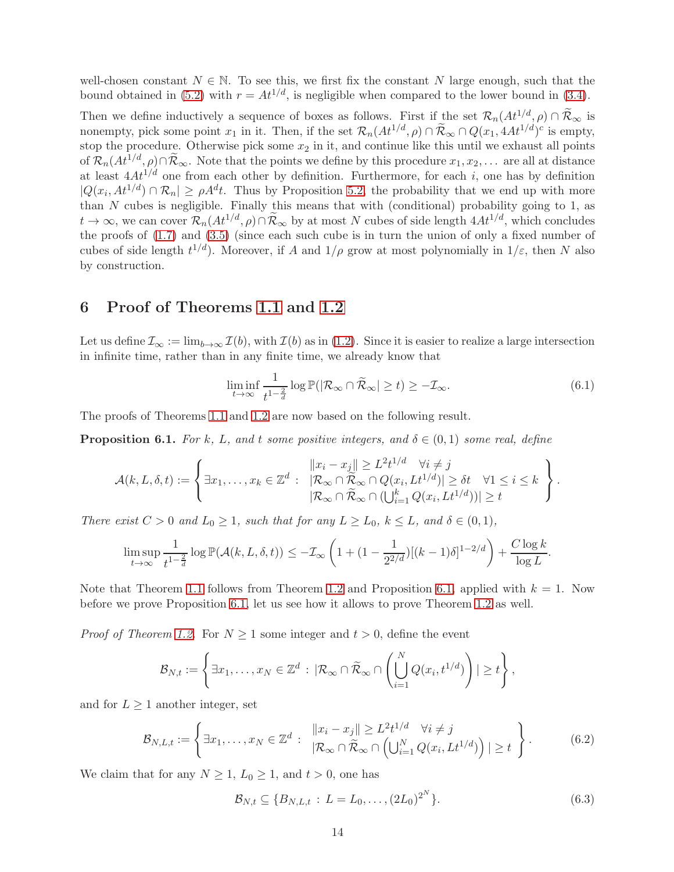well-chosen constant  $N \in \mathbb{N}$ . To see this, we first fix the constant N large enough, such that the bound obtained in [\(5.2\)](#page-11-4) with  $r = At^{1/d}$ , is negligible when compared to the lower bound in [\(3.4\)](#page-6-1).

Then we define inductively a sequence of boxes as follows. First if the set  $\mathcal{R}_n(At^{1/d}, \rho) \cap \widetilde{\mathcal{R}}_{\infty}$  is nonempty, pick some point  $x_1$  in it. Then, if the set  $\mathcal{R}_n(At^{1/d}, \rho) \cap \tilde{\mathcal{R}}_{\infty} \cap Q(x_1, 4At^{1/d})^c$  is empty, stop the procedure. Otherwise pick some  $x_2$  in it, and continue like this until we exhaust all points of  $\mathcal{R}_n(At^{1/d}, \rho) \cap \widetilde{\mathcal{R}}_{\infty}$ . Note that the points we define by this procedure  $x_1, x_2, \ldots$  are all at distance at least  $4At^{1/d}$  one from each other by definition. Furthermore, for each i, one has by definition  $|Q(x_i, At^{1/d}) \cap \mathcal{R}_n| \ge \rho A^d t$ . Thus by Proposition [5.2,](#page-11-2) the probability that we end up with more than  $N$  cubes is negligible. Finally this means that with (conditional) probability going to 1, as  $t \to \infty$ , we can cover  $\mathcal{R}_n(At^{1/d}, \rho) \cap \widetilde{\mathcal{R}}_{\infty}$  by at most N cubes of side length  $4At^{1/d}$ , which concludes the proofs of [\(1.7\)](#page-2-2) and [\(3.5\)](#page-6-5) (since each such cube is in turn the union of only a fixed number of cubes of side length  $t^{1/d}$ ). Moreover, if A and  $1/\rho$  grow at most polynomially in  $1/\varepsilon$ , then N also by construction.

### <span id="page-13-0"></span>6 Proof of Theorems [1.1](#page-1-1) and [1.2](#page-1-0)

Let us define  $\mathcal{I}_{\infty} := \lim_{b \to \infty} \mathcal{I}(b)$ , with  $\mathcal{I}(b)$  as in [\(1.2\)](#page-0-0). Since it is easier to realize a large intersection in infinite time, rather than in any finite time, we already know that

<span id="page-13-3"></span>
$$
\liminf_{t \to \infty} \frac{1}{t^{1 - \frac{2}{d}}} \log \mathbb{P}(|\mathcal{R}_{\infty} \cap \widetilde{\mathcal{R}}_{\infty}| \ge t) \ge -\mathcal{I}_{\infty}.
$$
\n(6.1)

The proofs of Theorems [1.1](#page-1-1) and [1.2](#page-1-0) are now based on the following result.

<span id="page-13-1"></span>**Proposition 6.1.** For k, L, and t some positive integers, and  $\delta \in (0,1)$  some real, define

$$
\mathcal{A}(k,L,\delta,t) := \left\{ \exists x_1,\ldots,x_k \in \mathbb{Z}^d \; : \; \begin{array}{l} \|x_i - x_j\| \geq L^2 t^{1/d} \quad \forall i \neq j \\ |\mathcal{R}_{\infty} \cap \widetilde{\mathcal{R}}_{\infty} \cap Q(x_i, L t^{1/d})| \geq \delta t \quad \forall 1 \leq i \leq k \\ |\mathcal{R}_{\infty} \cap \widetilde{\mathcal{R}}_{\infty} \cap (\bigcup_{i=1}^k Q(x_i, L t^{1/d}))| \geq t \end{array} \right\}.
$$

There exist  $C > 0$  and  $L_0 \ge 1$ , such that for any  $L \ge L_0$ ,  $k \le L$ , and  $\delta \in (0,1)$ ,

$$
\limsup_{t\to\infty}\frac{1}{t^{1-\frac{2}{d}}}\log\mathbb{P}(\mathcal{A}(k,L,\delta,t))\leq -\mathcal{I}_{\infty}\left(1+(1-\frac{1}{2^{2/d}})[(k-1)\delta]^{1-2/d}\right)+\frac{C\log k}{\log L}.
$$

Note that Theorem [1.1](#page-1-1) follows from Theorem [1.2](#page-1-0) and Proposition [6.1,](#page-13-1) applied with  $k = 1$ . Now before we prove Proposition [6.1,](#page-13-1) let us see how it allows to prove Theorem [1.2](#page-1-0) as well.

*Proof of Theorem [1.2.](#page-1-0)* For  $N \geq 1$  some integer and  $t > 0$ , define the event

$$
\mathcal{B}_{N,t}:=\left\{\exists x_1,\ldots,x_N\in\mathbb{Z}^d\,:\,|\mathcal{R}_{\infty}\cap\widetilde{\mathcal{R}}_{\infty}\cap\left(\bigcup_{i=1}^N Q(x_i,t^{1/d})\right)|\geq t\right\},\,
$$

and for  $L \geq 1$  another integer, set

$$
\mathcal{B}_{N,L,t} := \left\{ \exists x_1, \dots, x_N \in \mathbb{Z}^d : \begin{array}{l} \|x_i - x_j\| \ge L^2 t^{1/d} & \forall i \ne j \\ |\mathcal{R}_{\infty} \cap \widetilde{\mathcal{R}}_{\infty} \cap \left( \bigcup_{i=1}^N Q(x_i, L t^{1/d}) \right)| \ge t \end{array} \right\}.
$$
 (6.2)

We claim that for any  $N \geq 1$ ,  $L_0 \geq 1$ , and  $t > 0$ , one has

<span id="page-13-2"></span>
$$
\mathcal{B}_{N,t} \subseteq \{B_{N,L,t} : L = L_0, \dots, (2L_0)^{2^N}\}.
$$
\n(6.3)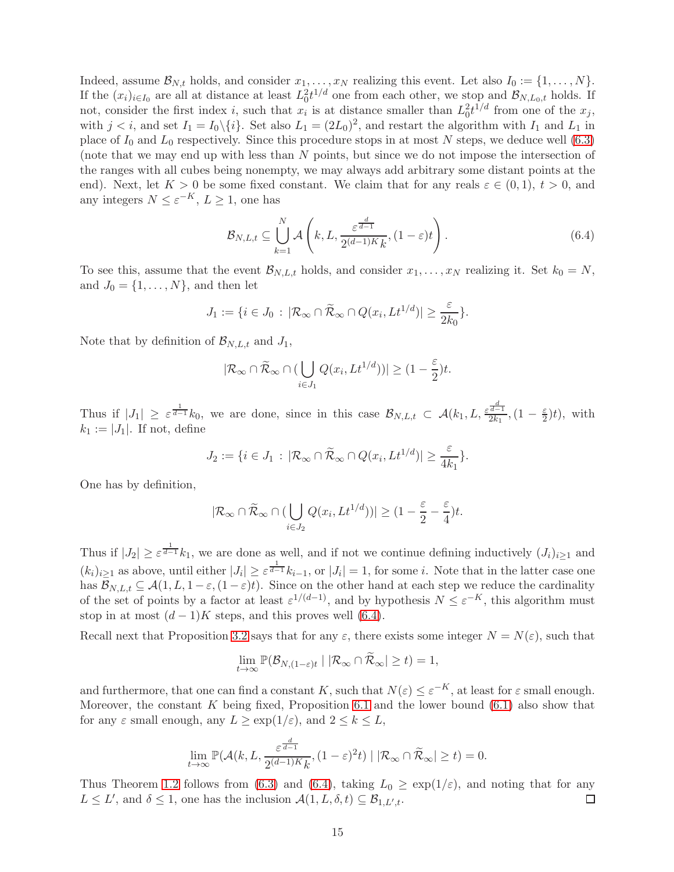Indeed, assume  $\mathcal{B}_{N,t}$  holds, and consider  $x_1, \ldots, x_N$  realizing this event. Let also  $I_0 := \{1, \ldots, N\}$ . If the  $(x_i)_{i\in I_0}$  are all at distance at least  $L_0^2 t^{1/d}$  one from each other, we stop and  $\mathcal{B}_{N,L_0,t}$  holds. If not, consider the first index i, such that  $x_i$  is at distance smaller than  $L_0^2 t^{1/d}$  from one of the  $x_j$ , with  $j < i$ , and set  $I_1 = I_0 \setminus \{i\}$ . Set also  $L_1 = (2L_0)^2$ , and restart the algorithm with  $I_1$  and  $L_1$  in place of  $I_0$  and  $L_0$  respectively. Since this procedure stops in at most N steps, we deduce well [\(6.3\)](#page-13-2) (note that we may end up with less than N points, but since we do not impose the intersection of the ranges with all cubes being nonempty, we may always add arbitrary some distant points at the end). Next, let  $K > 0$  be some fixed constant. We claim that for any reals  $\varepsilon \in (0,1)$ ,  $t > 0$ , and any integers  $N \leq \varepsilon^{-K}$ ,  $L \geq 1$ , one has

<span id="page-14-0"></span>
$$
\mathcal{B}_{N,L,t} \subseteq \bigcup_{k=1}^{N} \mathcal{A}\left(k, L, \frac{\varepsilon^{\frac{d}{d-1}}}{2^{(d-1)K}k}, (1-\varepsilon)t\right).
$$
\n(6.4)

To see this, assume that the event  $\mathcal{B}_{N,L,t}$  holds, and consider  $x_1, \ldots, x_N$  realizing it. Set  $k_0 = N$ , and  $J_0 = \{1, \ldots, N\}$ , and then let

$$
J_1 := \{ i \in J_0 \, : \, |\mathcal{R}_{\infty} \cap \widetilde{\mathcal{R}}_{\infty} \cap Q(x_i, L t^{1/d})| \geq \frac{\varepsilon}{2k_0} \}.
$$

Note that by definition of  $\mathcal{B}_{N,L,t}$  and  $J_1$ ,

$$
|\mathcal{R}_{\infty} \cap \widetilde{\mathcal{R}}_{\infty} \cap (\bigcup_{i \in J_1} Q(x_i, Lt^{1/d}))| \geq (1 - \frac{\varepsilon}{2})t.
$$

Thus if  $|J_1| \geq \varepsilon^{\frac{1}{d-1}} k_0$ , we are done, since in this case  $\mathcal{B}_{N,L,t} \subset \mathcal{A}(k_1,L,\frac{\varepsilon^{\frac{d}{d-1}}}{2k_1})$  $\frac{\overline{d-1}}{2k_1},(1-\frac{\varepsilon}{2})$  $(\frac{\varepsilon}{2})t$ , with  $k_1 := |J_1|$ . If not, define

$$
J_2 := \{ i \in J_1 \, : \, |\mathcal{R}_{\infty} \cap \widetilde{\mathcal{R}}_{\infty} \cap Q(x_i, Lt^{1/d})| \geq \frac{\varepsilon}{4k_1} \}.
$$

One has by definition,

$$
|\mathcal{R}_{\infty} \cap \widetilde{\mathcal{R}}_{\infty} \cap (\bigcup_{i \in J_2} Q(x_i, Lt^{1/d}))| \geq (1 - \frac{\varepsilon}{2} - \frac{\varepsilon}{4})t.
$$

Thus if  $|J_2| \geq \varepsilon^{\frac{1}{d-1}} k_1$ , we are done as well, and if not we continue defining inductively  $(J_i)_{i\geq 1}$  and  $(k_i)_{i\geq 1}$  as above, until either  $|J_i|\geq \varepsilon^{\frac{1}{d-1}}k_{i-1}$ , or  $|J_i|=1$ , for some *i*. Note that in the latter case one has  $\mathcal{B}_{N,L,t} \subseteq \mathcal{A}(1, L, 1-\varepsilon, (1-\varepsilon)t)$ . Since on the other hand at each step we reduce the cardinality of the set of points by a factor at least  $\varepsilon^{1/(d-1)}$ , and by hypothesis  $N \leq \varepsilon^{-K}$ , this algorithm must stop in at most  $(d-1)K$  steps, and this proves well [\(6.4\)](#page-14-0).

Recall next that Proposition [3.2](#page-6-2) says that for any  $\varepsilon$ , there exists some integer  $N = N(\varepsilon)$ , such that

$$
\lim_{t\to\infty}\mathbb{P}(\mathcal{B}_{N,(1-\varepsilon)t}\mid |\mathcal{R}_{\infty}\cap \widetilde{\mathcal{R}}_{\infty}|\geq t)=1,
$$

and furthermore, that one can find a constant K, such that  $N(\varepsilon) \leq \varepsilon^{-K}$ , at least for  $\varepsilon$  small enough. Moreover, the constant  $K$  being fixed, Proposition [6.1](#page-13-1) and the lower bound  $(6.1)$  also show that for any  $\varepsilon$  small enough, any  $L \geq \exp(1/\varepsilon)$ , and  $2 \leq k \leq L$ ,

$$
\lim_{t \to \infty} \mathbb{P}(\mathcal{A}(k, L, \frac{\varepsilon^{\frac{d}{d-1}}}{2^{(d-1)K}k}, (1-\varepsilon)^2 t) \mid |\mathcal{R}_{\infty} \cap \widetilde{\mathcal{R}}_{\infty}| \ge t) = 0.
$$

Thus Theorem [1.2](#page-1-0) follows from [\(6.3\)](#page-13-2) and [\(6.4\)](#page-14-0), taking  $L_0 \ge \exp(1/\varepsilon)$ , and noting that for any  $L \le L'$ , and  $\delta \le 1$ , one has the inclusion  $\mathcal{A}(1, L, \delta, t) \subseteq \mathcal{B}_{1, L', t}$ .  $L \leq L'$ , and  $\delta \leq 1$ , one has the inclusion  $\mathcal{A}(1, L, \delta, t) \subseteq \mathcal{B}_{1, L', t}$ .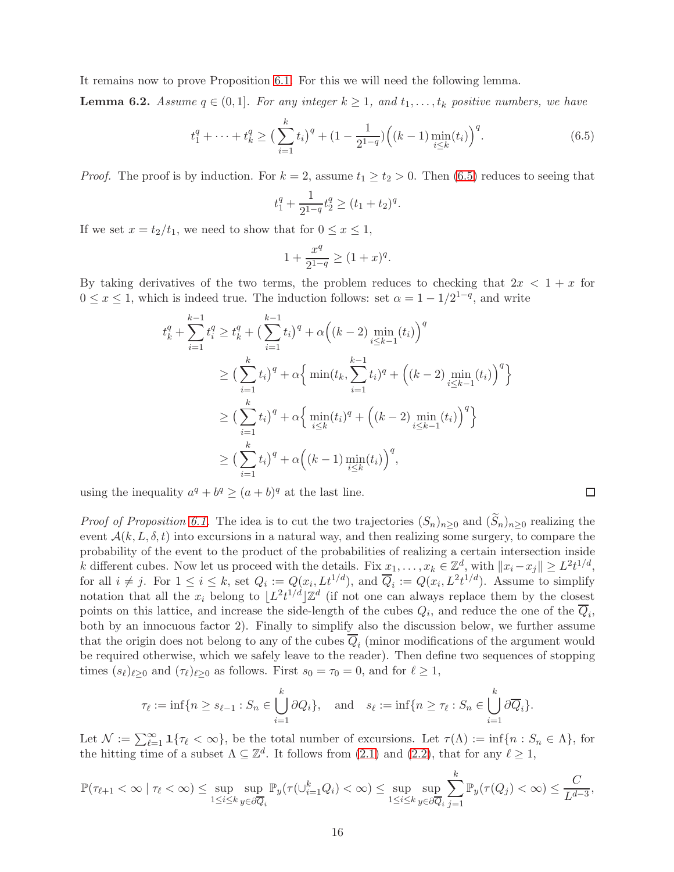It remains now to prove Proposition [6.1.](#page-13-1) For this we will need the following lemma.

<span id="page-15-1"></span>**Lemma 6.2.** Assume  $q \in (0,1]$ . For any integer  $k \geq 1$ , and  $t_1, \ldots, t_k$  positive numbers, we have

<span id="page-15-0"></span>
$$
t_1^q + \dots + t_k^q \ge \left(\sum_{i=1}^k t_i\right)^q + \left(1 - \frac{1}{2^{1-q}}\right) \left((k-1)\min_{i \le k}(t_i)\right)^q. \tag{6.5}
$$

 $\Box$ 

*Proof.* The proof is by induction. For  $k = 2$ , assume  $t_1 \ge t_2 > 0$ . Then [\(6.5\)](#page-15-0) reduces to seeing that

$$
t_1^q + \frac{1}{2^{1-q}} t_2^q \ge (t_1 + t_2)^q.
$$

If we set  $x = t_2/t_1$ , we need to show that for  $0 \le x \le 1$ ,

$$
1 + \frac{x^q}{2^{1-q}} \ge (1+x)^q.
$$

By taking derivatives of the two terms, the problem reduces to checking that  $2x < 1 + x$  for  $0 \le x \le 1$ , which is indeed true. The induction follows: set  $\alpha = 1 - 1/2^{1-q}$ , and write

$$
t_k^q + \sum_{i=1}^{k-1} t_i^q \ge t_k^q + \left(\sum_{i=1}^{k-1} t_i\right)^q + \alpha \left((k-2) \min_{i \le k-1} (t_i)\right)^q
$$
  
\n
$$
\ge \left(\sum_{i=1}^k t_i\right)^q + \alpha \left\{\min(t_k, \sum_{i=1}^{k-1} t_i)^q + \left((k-2) \min_{i \le k-1} (t_i)\right)^q\right\}
$$
  
\n
$$
\ge \left(\sum_{i=1}^k t_i\right)^q + \alpha \left\{\min(t_i)^q + \left((k-2) \min_{i \le k-1} (t_i)\right)^q\right\}
$$
  
\n
$$
\ge \left(\sum_{i=1}^k t_i\right)^q + \alpha \left((k-1) \min_{i \le k} (t_i)\right)^q,
$$

using the inequality  $a^q + b^q \ge (a+b)^q$  at the last line.

*Proof of Proposition [6.1.](#page-13-1)* The idea is to cut the two trajectories  $(S_n)_{n>0}$  and  $(\widetilde{S}_n)_{n>0}$  realizing the event  $\mathcal{A}(k, L, \delta, t)$  into excursions in a natural way, and then realizing some surgery, to compare the probability of the event to the product of the probabilities of realizing a certain intersection inside k different cubes. Now let us proceed with the details. Fix  $\underline{x}_1, \ldots, x_k \in \mathbb{Z}^d$ , with  $||x_i - x_j|| \geq L^2 t^{1/d}$ , for all  $i \neq j$ . For  $1 \leq i \leq k$ , set  $Q_i := Q(x_i, L t^{1/d})$ , and  $\overline{Q}_i := Q(x_i, L^2 t^{1/d})$ . Assume to simplify notation that all the  $x_i$  belong to  $\lfloor L^2 t^{1/d} \rfloor \mathbb{Z}^d$  (if not one can always replace them by the closest points on this lattice, and increase the side-length of the cubes  $Q_i$ , and reduce the one of the  $Q_i$ , both by an innocuous factor 2). Finally to simplify also the discussion below, we further assume that the origin does not belong to any of the cubes  $Q_i$  (minor modifications of the argument would be required otherwise, which we safely leave to the reader). Then define two sequences of stopping times  $(s_{\ell})_{\ell \geq 0}$  and  $(\tau_{\ell})_{\ell \geq 0}$  as follows. First  $s_0 = \tau_0 = 0$ , and for  $\ell \geq 1$ ,

$$
\tau_{\ell} := \inf \{ n \ge s_{\ell-1} : S_n \in \bigcup_{i=1}^k \partial Q_i \}, \quad \text{and} \quad s_{\ell} := \inf \{ n \ge \tau_{\ell} : S_n \in \bigcup_{i=1}^k \partial \overline{Q}_i \}.
$$

Let  $\mathcal{N} := \sum_{\ell=1}^{\infty} \mathbf{1}\{\tau_{\ell} < \infty\}$ , be the total number of excursions. Let  $\tau(\Lambda) := \inf\{n : S_n \in \Lambda\}$ , for the hitting time of a subset  $\Lambda \subseteq \mathbb{Z}^d$ . It follows from [\(2.1\)](#page-4-0) and [\(2.2\)](#page-4-3), that for any  $\ell \geq 1$ ,

$$
\mathbb{P}(\tau_{\ell+1} < \infty \mid \tau_{\ell} < \infty) \leq \sup_{1 \leq i \leq k} \sup_{y \in \partial \overline{Q}_i} \mathbb{P}_y(\tau(\cup_{i=1}^k Q_i) < \infty) \leq \sup_{1 \leq i \leq k} \sup_{y \in \partial \overline{Q}_i} \sum_{j=1}^k \mathbb{P}_y(\tau(Q_j) < \infty) \leq \frac{C}{L^{d-3}},
$$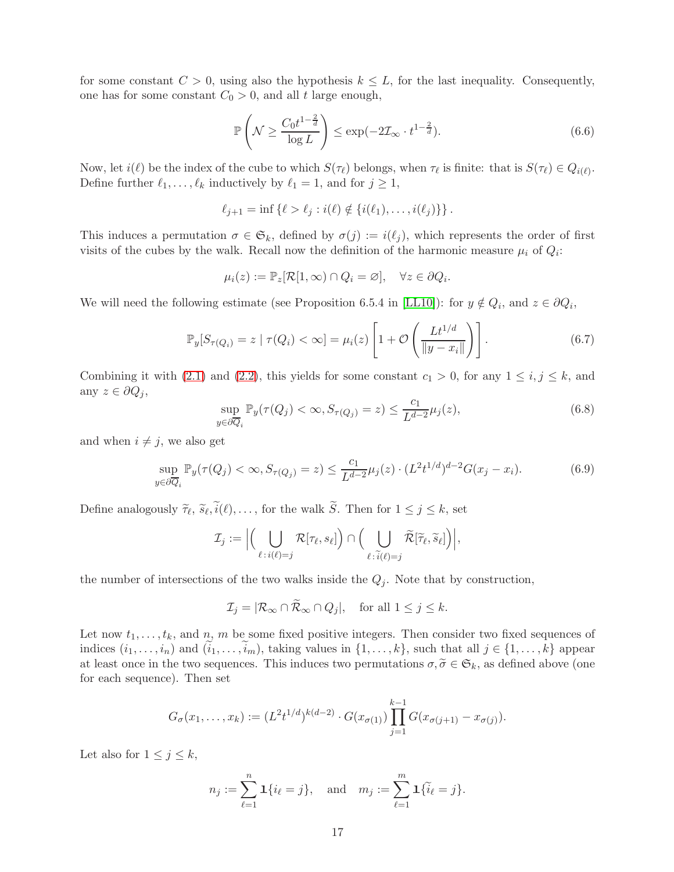for some constant  $C > 0$ , using also the hypothesis  $k \leq L$ , for the last inequality. Consequently, one has for some constant  $C_0 > 0$ , and all t large enough,

<span id="page-16-3"></span>
$$
\mathbb{P}\left(\mathcal{N}\geq \frac{C_0 t^{1-\frac{2}{d}}}{\log L}\right)\leq \exp(-2\mathcal{I}_{\infty}\cdot t^{1-\frac{2}{d}}). \tag{6.6}
$$

Now, let  $i(\ell)$  be the index of the cube to which  $S(\tau_{\ell})$  belongs, when  $\tau_{\ell}$  is finite: that is  $S(\tau_{\ell}) \in Q_{i(\ell)}$ . Define further  $\ell_1, \ldots, \ell_k$  inductively by  $\ell_1 = 1$ , and for  $j \geq 1$ ,

$$
\ell_{j+1} = \inf \{ \ell > \ell_j : i(\ell) \notin \{ i(\ell_1), \ldots, i(\ell_j) \} \}.
$$

This induces a permutation  $\sigma \in \mathfrak{S}_k$ , defined by  $\sigma(j) := i(\ell_j)$ , which represents the order of first visits of the cubes by the walk. Recall now the definition of the harmonic measure  $\mu_i$  of  $Q_i$ :

$$
\mu_i(z) := \mathbb{P}_z[\mathcal{R}[1,\infty) \cap Q_i = \varnothing], \quad \forall z \in \partial Q_i.
$$

We will need the following estimate (see Proposition 6.5.4 in [\[LL10\]](#page-19-8)): for  $y \notin Q_i$ , and  $z \in \partial Q_i$ ,

<span id="page-16-2"></span>
$$
\mathbb{P}_y[S_{\tau(Q_i)} = z \mid \tau(Q_i) < \infty] = \mu_i(z) \left[ 1 + \mathcal{O}\left(\frac{Lt^{1/d}}{\|y - x_i\|}\right) \right]. \tag{6.7}
$$

Combining it with [\(2.1\)](#page-4-0) and [\(2.2\)](#page-4-3), this yields for some constant  $c_1 > 0$ , for any  $1 \le i, j \le k$ , and any  $z \in \partial Q_j$ ,

<span id="page-16-0"></span>
$$
\sup_{y \in \partial \overline{Q}_i} \mathbb{P}_y(\tau(Q_j) < \infty, S_{\tau(Q_j)} = z) \le \frac{c_1}{L^{d-2}} \mu_j(z),\tag{6.8}
$$

and when  $i \neq j$ , we also get

<span id="page-16-1"></span>
$$
\sup_{y \in \partial \overline{Q}_i} \mathbb{P}_y(\tau(Q_j) < \infty, S_{\tau(Q_j)} = z) \le \frac{c_1}{L^{d-2}} \mu_j(z) \cdot (L^2 t^{1/d})^{d-2} G(x_j - x_i). \tag{6.9}
$$

Define analogously  $\tilde{\tau}_{\ell}$ ,  $\tilde{s}_{\ell}$ ,  $i(\ell)$ ,..., for the walk S. Then for  $1 \leq j \leq k$ , set

$$
\mathcal{I}_j := \Big|\Big(\bigcup_{\ell \,:\, i(\ell) = j} \mathcal{R}[\tau_\ell, s_\ell]\Big) \cap \Big(\bigcup_{\ell \,:\, \widetilde{i}(\ell) = j} \widetilde{\mathcal{R}}[\widetilde{\tau}_\ell, \widetilde{s}_\ell]\Big)\Big|,
$$

the number of intersections of the two walks inside the  $Q_j$ . Note that by construction,

$$
\mathcal{I}_j = |\mathcal{R}_{\infty} \cap \mathcal{R}_{\infty} \cap Q_j|, \quad \text{for all } 1 \le j \le k.
$$

Let now  $t_1, \ldots, t_k$ , and n, m be some fixed positive integers. Then consider two fixed sequences of indices  $(i_1, \ldots, i_n)$  and  $(\tilde{i}_1, \ldots, \tilde{i}_m)$ , taking values in  $\{1, \ldots, k\}$ , such that all  $j \in \{1, \ldots, k\}$  appear at least once in the two sequences. This induces two permutations  $\sigma, \tilde{\sigma} \in \mathfrak{S}_k$ , as defined above (one for each sequence). Then set

$$
G_{\sigma}(x_1,\ldots,x_k) := (L^2 t^{1/d})^{k(d-2)} \cdot G(x_{\sigma(1)}) \prod_{j=1}^{k-1} G(x_{\sigma(j+1)} - x_{\sigma(j)}).
$$

Let also for  $1 \leq j \leq k$ ,

$$
n_j := \sum_{\ell=1}^n \mathbf{1}\{i_\ell = j\}, \text{ and } m_j := \sum_{\ell=1}^m \mathbf{1}\{\tilde{i}_\ell = j\}.
$$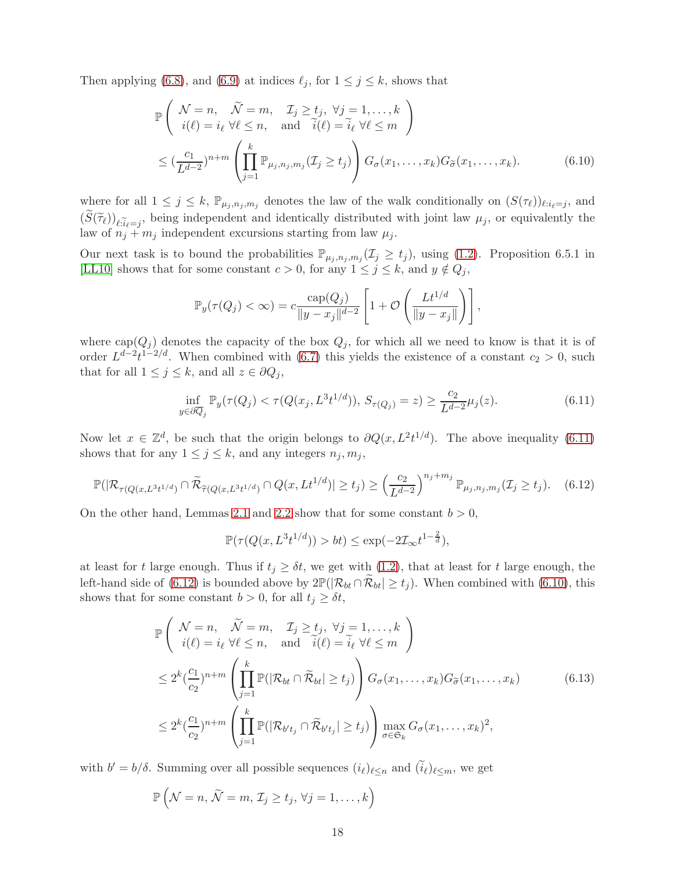Then applying [\(6.8\)](#page-16-0), and [\(6.9\)](#page-16-1) at indices  $\ell_j$ , for  $1 \leq j \leq k$ , shows that

$$
\mathbb{P}\left(\begin{array}{ll}\n\mathcal{N} = n, & \widetilde{\mathcal{N}} = m, & \mathcal{I}_j \ge t_j, \ \forall j = 1, \dots, k \\
i(\ell) = i_{\ell} \ \forall \ell \le n, & \text{and} \quad \widetilde{i}(\ell) = \widetilde{i}_{\ell} \ \forall \ell \le m\n\end{array}\right)
$$
\n
$$
\le \left(\frac{c_1}{L^{d-2}}\right)^{n+m} \left(\prod_{j=1}^k \mathbb{P}_{\mu_j, n_j, m_j}(\mathcal{I}_j \ge t_j)\right) G_{\sigma}(x_1, \dots, x_k) G_{\widetilde{\sigma}}(x_1, \dots, x_k). \tag{6.10}
$$

where for all  $1 \leq j \leq k$ ,  $\mathbb{P}_{\mu_j,n_j,m_j}$  denotes the law of the walk conditionally on  $(S(\tau_\ell))_{\ell:i_\ell=j}$ , and  $(S(\tilde{\tau}_{\ell}))_{\ell: \tilde{i}_{\ell}=j}$ , being independent and identically distributed with joint law  $\mu_j$ , or equivalently the law of  $n_j + m_j$  independent excursions starting from law  $\mu_j$ .

Our next task is to bound the probabilities  $\mathbb{P}_{\mu_j,n_j,m_j}(\mathcal{I}_j \geq t_j)$ , using [\(1.2\)](#page-0-0). Proposition 6.5.1 in [\[LL10\]](#page-19-8) shows that for some constant  $c > 0$ , for any  $1 \leq j \leq k$ , and  $y \notin Q_j$ ,

<span id="page-17-2"></span>
$$
\mathbb{P}_y(\tau(Q_j) < \infty) = c \frac{\text{cap}(Q_j)}{\|y - x_j\|^{d-2}} \left[1 + \mathcal{O}\left(\frac{Lt^{1/d}}{\|y - x_j\|}\right)\right],
$$

where  $cap(Q_j)$  denotes the capacity of the box  $Q_j$ , for which all we need to know is that it is of order  $L^{d-2}t^{1-2/d}$ . When combined with [\(6.7\)](#page-16-2) this yields the existence of a constant  $c_2 > 0$ , such that for all  $1 \leq j \leq k$ , and all  $z \in \partial Q_j$ ,

<span id="page-17-0"></span>
$$
\inf_{y \in \partial \overline{Q}_j} \mathbb{P}_y(\tau(Q_j) < \tau(Q(x_j, L^3 t^{1/d})), \ S_{\tau(Q_j)} = z) \ge \frac{c_2}{L^{d-2}} \mu_j(z). \tag{6.11}
$$

Now let  $x \in \mathbb{Z}^d$ , be such that the origin belongs to  $\partial Q(x, L^2 t^{1/d})$ . The above inequality [\(6.11\)](#page-17-0) shows that for any  $1 \leq j \leq k$ , and any integers  $n_j, m_j$ ,

<span id="page-17-1"></span>
$$
\mathbb{P}(|\mathcal{R}_{\tau(Q(x,L^3t^{1/d})} \cap \widetilde{\mathcal{R}}_{\widetilde{\tau}(Q(x,L^3t^{1/d})} \cap Q(x,Lt^{1/d})| \ge t_j) \ge \left(\frac{c_2}{L^{d-2}}\right)^{n_j+m_j} \mathbb{P}_{\mu_j,n_j,m_j}(\mathcal{I}_j \ge t_j). \tag{6.12}
$$

On the other hand, Lemmas [2.1](#page-4-2) and [2.2](#page-4-1) show that for some constant  $b > 0$ ,

$$
\mathbb{P}(\tau(Q(x, L^3 t^{1/d})) > bt) \le \exp(-2\mathcal{I}_{\infty} t^{1-\frac{2}{d}}),
$$

at least for t large enough. Thus if  $t_j \geq \delta t$ , we get with [\(1.2\)](#page-0-0), that at least for t large enough, the left-hand side of [\(6.12\)](#page-17-1) is bounded above by  $2\mathbb{P}(|\mathcal{R}_{bt} \cap \tilde{\mathcal{R}}_{bt}| \ge t_j)$ . When combined with [\(6.10\)](#page-17-2), this shows that for some constant  $b > 0$ , for all  $t_j \geq \delta t$ ,

$$
\mathbb{P}\left(\begin{array}{ll}\mathcal{N}=n, & \tilde{\mathcal{N}}=m, & \mathcal{I}_{j} \geq t_{j}, \ \forall j=1,\ldots,k\\i(\ell)=i_{\ell} \ \forall \ell \leq n, & \text{and} \quad \tilde{i}(\ell)=\tilde{i}_{\ell} \ \forall \ell \leq m\end{array}\right) \leq 2^{k}(\frac{c_{1}}{c_{2}})^{n+m}\left(\prod_{j=1}^{k}\mathbb{P}(|\mathcal{R}_{bt} \cap \tilde{\mathcal{R}}_{bt}| \geq t_{j})\right)G_{\sigma}(x_{1},\ldots,x_{k})G_{\tilde{\sigma}}(x_{1},\ldots,x_{k}) \leq 2^{k}(\frac{c_{1}}{c_{2}})^{n+m}\left(\prod_{j=1}^{k}\mathbb{P}(|\mathcal{R}_{b't_{j}} \cap \tilde{\mathcal{R}}_{b't_{j}}| \geq t_{j})\right) \max_{\sigma \in \mathfrak{S}_{k}}G_{\sigma}(x_{1},\ldots,x_{k})^{2},
$$
\n(6.13)

with  $b' = b/\delta$ . Summing over all possible sequences  $(i_{\ell})_{\ell \leq n}$  and  $(\tilde{i}_{\ell})_{\ell \leq m}$ , we get

$$
\mathbb{P}\left(\mathcal{N}=n,\,\widetilde{\mathcal{N}}=m,\,\mathcal{I}_j\geq t_j,\,\forall j=1,\ldots,k\right)
$$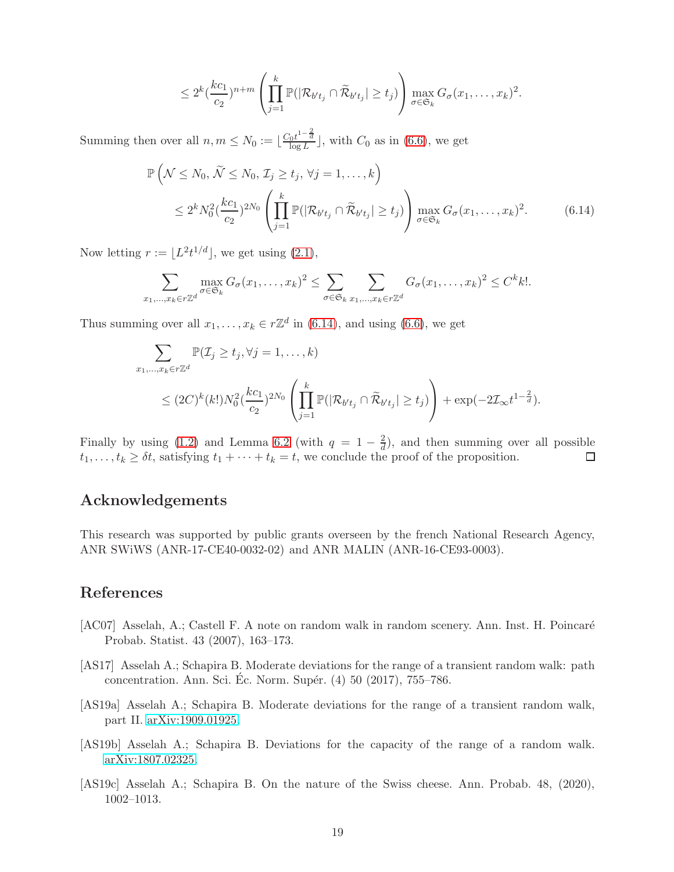<span id="page-18-4"></span>
$$
\leq 2^{k} \left(\frac{kc_1}{c_2}\right)^{n+m} \left(\prod_{j=1}^{k} \mathbb{P}(|\mathcal{R}_{b't_j} \cap \widetilde{\mathcal{R}}_{b't_j}| \geq t_j)\right) \max_{\sigma \in \mathfrak{S}_k} G_{\sigma}(x_1,\ldots,x_k)^2.
$$

Summing then over all  $n, m \leq N_0 := \lfloor \frac{C_0 t^{1-\frac{2}{d}}}{\log L} \rfloor$ , with  $C_0$  as in [\(6.6\)](#page-16-3), we get

$$
\mathbb{P}\left(\mathcal{N}\leq N_0,\,\widetilde{\mathcal{N}}\leq N_0,\,\mathcal{I}_j\geq t_j,\,\forall j=1,\ldots,k\right) \n\leq 2^k N_0^2 \left(\frac{k c_1}{c_2}\right)^{2N_0} \left(\prod_{j=1}^k \mathbb{P}(|\mathcal{R}_{b't_j}\cap\widetilde{\mathcal{R}}_{b't_j}| \geq t_j)\right) \max_{\sigma\in\mathfrak{S}_k} G_{\sigma}(x_1,\ldots,x_k)^2.
$$
\n(6.14)

Now letting  $r := \lfloor L^2 t^{1/d} \rfloor$ , we get using  $(2.1)$ ,

$$
\sum_{x_1,\dots,x_k \in r\mathbb{Z}^d} \max_{\sigma \in \mathfrak{S}_k} G_{\sigma}(x_1,\dots,x_k)^2 \leq \sum_{\sigma \in \mathfrak{S}_k} \sum_{x_1,\dots,x_k \in r\mathbb{Z}^d} G_{\sigma}(x_1,\dots,x_k)^2 \leq C^k k!.
$$

Thus summing over all  $x_1, \ldots, x_k \in r\mathbb{Z}^d$  in [\(6.14\)](#page-18-4), and using [\(6.6\)](#page-16-3), we get

$$
\sum_{x_1,\ldots,x_k \in r\mathbb{Z}^d} \mathbb{P}(\mathcal{I}_j \ge t_j, \forall j = 1,\ldots,k)
$$
\n
$$
\le (2C)^k (k!) N_0^2 \left(\frac{k c_1}{c_2}\right)^{2N_0} \left(\prod_{j=1}^k \mathbb{P}(|\mathcal{R}_{b't_j} \cap \widetilde{\mathcal{R}}_{b't_j}| \ge t_j)\right) + \exp(-2\mathcal{I}_{\infty}t^{1-\frac{2}{d}}).
$$

Finally by using [\(1.2\)](#page-0-0) and Lemma [6.2](#page-15-1) (with  $q = 1 - \frac{2}{d}$  $\frac{2}{d}$ , and then summing over all possible  $t_1, \ldots, t_k \geq \delta t$ , satisfying  $t_1 + \cdots + t_k = t$ , we conclude the proof of the proposition.  $\Box$ 

# Acknowledgements

This research was supported by public grants overseen by the french National Research Agency, ANR SWiWS (ANR-17-CE40-0032-02) and ANR MALIN (ANR-16-CE93-0003).

# References

- <span id="page-18-3"></span>[AC07] Asselah, A.; Castell F. A note on random walk in random scenery. Ann. Inst. H. Poincaré Probab. Statist. 43 (2007), 163–173.
- <span id="page-18-0"></span>[AS17] Asselah A.; Schapira B. Moderate deviations for the range of a transient random walk: path concentration. Ann. Sci. Éc. Norm. Supér.  $(4)$  50  $(2017)$ , 755–786.
- <span id="page-18-1"></span>[AS19a] Asselah A.; Schapira B. Moderate deviations for the range of a transient random walk, part II. [arXiv:1909.01925.](http://arxiv.org/abs/1909.01925)
- <span id="page-18-2"></span>[AS19b] Asselah A.; Schapira B. Deviations for the capacity of the range of a random walk. [arXiv:1807.02325.](http://arxiv.org/abs/1807.02325)
- [AS19c] Asselah A.; Schapira B. On the nature of the Swiss cheese. Ann. Probab. 48, (2020), 1002–1013.